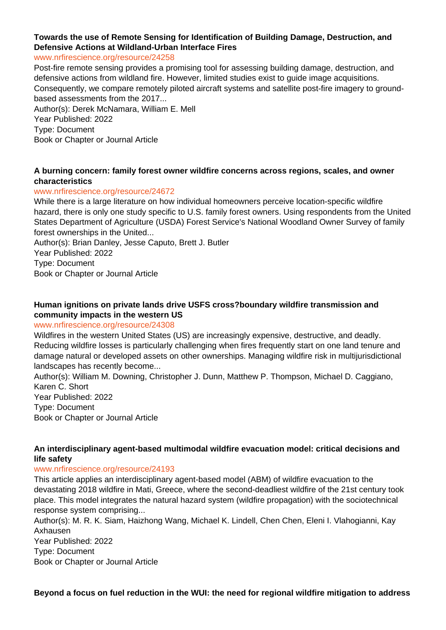# **Towards the use of Remote Sensing for Identification of Building Damage, Destruction, and Defensive Actions at Wildland-Urban Interface Fires**

#### www.nrfirescience.org/resource/24258

Post-fire remote sensing provides a promising tool for assessing building damage, destruction, and defensive actions from wildland fire. However, limited studies exist to guide image acquisitions. Consequently, we compare remotely piloted aircraft systems and satellite post-fire imagery to groundbased assessments from the 2017... Author(s): Derek McNamara, William E. Mell Year Published: 2022

Type: Document

Book or Chapter or Journal Article

#### **A burning concern: family forest owner wildfire concerns across regions, scales, and owner characteristics**

#### www.nrfirescience.org/resource/24672

While there is a large literature on how individual homeowners perceive location-specific wildfire hazard, there is only one study specific to U.S. family forest owners. Using respondents from the United States Department of Agriculture (USDA) Forest Service's National Woodland Owner Survey of family forest ownerships in the United...

Author(s): Brian Danley, Jesse Caputo, Brett J. Butler Year Published: 2022 Type: Document Book or Chapter or Journal Article

#### **Human ignitions on private lands drive USFS cross?boundary wildfire transmission and community impacts in the western US**

#### www.nrfirescience.org/resource/24308

Wildfires in the western United States (US) are increasingly expensive, destructive, and deadly. Reducing wildfire losses is particularly challenging when fires frequently start on one land tenure and damage natural or developed assets on other ownerships. Managing wildfire risk in multijurisdictional landscapes has recently become...

Author(s): William M. Downing, Christopher J. Dunn, Matthew P. Thompson, Michael D. Caggiano, Karen C. Short Year Published: 2022 Type: Document

Book or Chapter or Journal Article

### **An interdisciplinary agent-based multimodal wildfire evacuation model: critical decisions and life safety**

#### www.nrfirescience.org/resource/24193

This article applies an interdisciplinary agent-based model (ABM) of wildfire evacuation to the devastating 2018 wildfire in Mati, Greece, where the second-deadliest wildfire of the 21st century took place. This model integrates the natural hazard system (wildfire propagation) with the sociotechnical response system comprising...

Author(s): M. R. K. Siam, Haizhong Wang, Michael K. Lindell, Chen Chen, Eleni I. Vlahogianni, Kay Axhausen

Year Published: 2022 Type: Document Book or Chapter or Journal Article

**Beyond a focus on fuel reduction in the WUI: the need for regional wildfire mitigation to address**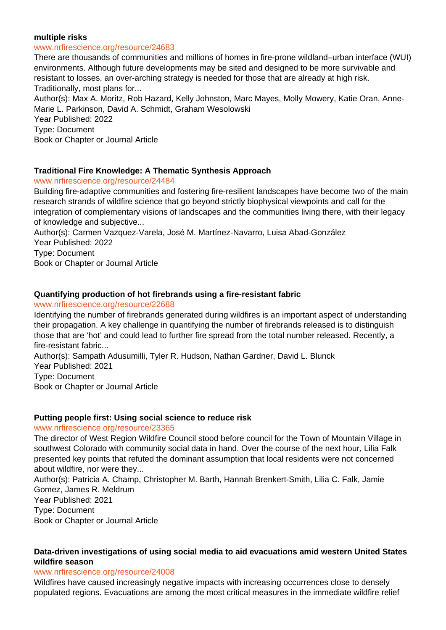#### **multiple risks**

#### www.nrfirescience.org/resource/24683

There are thousands of communities and millions of homes in fire-prone wildland–urban interface (WUI) environments. Although future developments may be sited and designed to be more survivable and resistant to losses, an over-arching strategy is needed for those that are already at high risk. Traditionally, most plans for...

Author(s): Max A. Moritz, Rob Hazard, Kelly Johnston, Marc Mayes, Molly Mowery, Katie Oran, Anne-Marie L. Parkinson, David A. Schmidt, Graham Wesolowski

Year Published: 2022

Type: Document

Book or Chapter or Journal Article

#### **Traditional Fire Knowledge: A Thematic Synthesis Approach**

www.nrfirescience.org/resource/24484

Building fire-adaptive communities and fostering fire-resilient landscapes have become two of the main research strands of wildfire science that go beyond strictly biophysical viewpoints and call for the integration of complementary visions of landscapes and the communities living there, with their legacy of knowledge and subjective...

Author(s): Carmen Vazquez-Varela, José M. Martínez-Navarro, Luisa Abad-González Year Published: 2022

Type: Document

Book or Chapter or Journal Article

#### **Quantifying production of hot firebrands using a fire-resistant fabric**

www.nrfirescience.org/resource/22688

Identifying the number of firebrands generated during wildfires is an important aspect of understanding their propagation. A key challenge in quantifying the number of firebrands released is to distinguish those that are 'hot' and could lead to further fire spread from the total number released. Recently, a fire-resistant fabric...

Author(s): Sampath Adusumilli, Tyler R. Hudson, Nathan Gardner, David L. Blunck

Year Published: 2021

Type: Document

Book or Chapter or Journal Article

#### **Putting people first: Using social science to reduce risk**

www.nrfirescience.org/resource/23365

The director of West Region Wildfire Council stood before council for the Town of Mountain Village in southwest Colorado with community social data in hand. Over the course of the next hour, Lilia Falk presented key points that refuted the dominant assumption that local residents were not concerned about wildfire, nor were they...

Author(s): Patricia A. Champ, Christopher M. Barth, Hannah Brenkert-Smith, Lilia C. Falk, Jamie Gomez, James R. Meldrum

Year Published: 2021

Type: Document

Book or Chapter or Journal Article

### **Data-driven investigations of using social media to aid evacuations amid western United States wildfire season**

#### www.nrfirescience.org/resource/24008

Wildfires have caused increasingly negative impacts with increasing occurrences close to densely populated regions. Evacuations are among the most critical measures in the immediate wildfire relief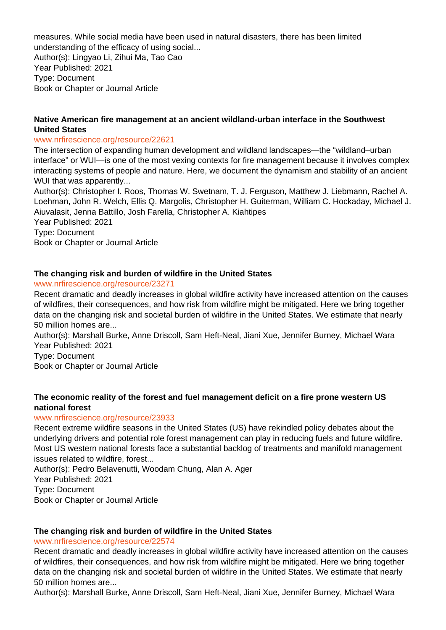measures. While social media have been used in natural disasters, there has been limited understanding of the efficacy of using social...

Author(s): Lingyao Li, Zihui Ma, Tao Cao Year Published: 2021 Type: Document Book or Chapter or Journal Article

# **Native American fire management at an ancient wildland-urban interface in the Southwest United States**

#### www.nrfirescience.org/resource/22621

The intersection of expanding human development and wildland landscapes—the "wildland–urban interface" or WUI—is one of the most vexing contexts for fire management because it involves complex interacting systems of people and nature. Here, we document the dynamism and stability of an ancient WUI that was apparently...

Author(s): Christopher I. Roos, Thomas W. Swetnam, T. J. Ferguson, Matthew J. Liebmann, Rachel A. Loehman, John R. Welch, Ellis Q. Margolis, Christopher H. Guiterman, William C. Hockaday, Michael J. Aiuvalasit, Jenna Battillo, Josh Farella, Christopher A. Kiahtipes

Year Published: 2021 Type: Document Book or Chapter or Journal Article

# **The changing risk and burden of wildfire in the United States**

www.nrfirescience.org/resource/23271

Recent dramatic and deadly increases in global wildfire activity have increased attention on the causes of wildfires, their consequences, and how risk from wildfire might be mitigated. Here we bring together data on the changing risk and societal burden of wildfire in the United States. We estimate that nearly 50 million homes are...

Author(s): Marshall Burke, Anne Driscoll, Sam Heft-Neal, Jiani Xue, Jennifer Burney, Michael Wara Year Published: 2021

Type: Document

Book or Chapter or Journal Article

# **The economic reality of the forest and fuel management deficit on a fire prone western US national forest**

# www.nrfirescience.org/resource/23933

Recent extreme wildfire seasons in the United States (US) have rekindled policy debates about the underlying drivers and potential role forest management can play in reducing fuels and future wildfire. Most US western national forests face a substantial backlog of treatments and manifold management issues related to wildfire, forest...

Author(s): Pedro Belavenutti, Woodam Chung, Alan A. Ager Year Published: 2021 Type: Document Book or Chapter or Journal Article

# **The changing risk and burden of wildfire in the United States**

#### www.nrfirescience.org/resource/22574

Recent dramatic and deadly increases in global wildfire activity have increased attention on the causes of wildfires, their consequences, and how risk from wildfire might be mitigated. Here we bring together data on the changing risk and societal burden of wildfire in the United States. We estimate that nearly 50 million homes are...

Author(s): Marshall Burke, Anne Driscoll, Sam Heft-Neal, Jiani Xue, Jennifer Burney, Michael Wara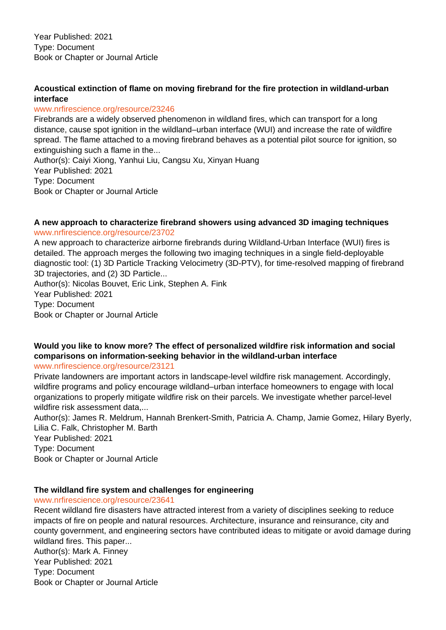Year Published: 2021 Type: Document Book or Chapter or Journal Article

# **Acoustical extinction of flame on moving firebrand for the fire protection in wildland-urban interface**

### www.nrfirescience.org/resource/23246

Firebrands are a widely observed phenomenon in wildland fires, which can transport for a long distance, cause spot ignition in the wildland–urban interface (WUI) and increase the rate of wildfire spread. The flame attached to a moving firebrand behaves as a potential pilot source for ignition, so extinguishing such a flame in the...

Author(s): Caiyi Xiong, Yanhui Liu, Cangsu Xu, Xinyan Huang Year Published: 2021 Type: Document Book or Chapter or Journal Article

#### **A new approach to characterize firebrand showers using advanced 3D imaging techniques** www.nrfirescience.org/resource/23702

A new approach to characterize airborne firebrands during Wildland-Urban Interface (WUI) fires is detailed. The approach merges the following two imaging techniques in a single field-deployable diagnostic tool: (1) 3D Particle Tracking Velocimetry (3D-PTV), for time-resolved mapping of firebrand 3D trajectories, and (2) 3D Particle...

Author(s): Nicolas Bouvet, Eric Link, Stephen A. Fink Year Published: 2021 Type: Document Book or Chapter or Journal Article

# **Would you like to know more? The effect of personalized wildfire risk information and social comparisons on information-seeking behavior in the wildland-urban interface**

#### www.nrfirescience.org/resource/23121

Private landowners are important actors in landscape-level wildfire risk management. Accordingly, wildfire programs and policy encourage wildland–urban interface homeowners to engage with local organizations to properly mitigate wildfire risk on their parcels. We investigate whether parcel-level wildfire risk assessment data....

Author(s): James R. Meldrum, Hannah Brenkert-Smith, Patricia A. Champ, Jamie Gomez, Hilary Byerly, Lilia C. Falk, Christopher M. Barth

Year Published: 2021 Type: Document Book or Chapter or Journal Article

# **The wildland fire system and challenges for engineering**

# www.nrfirescience.org/resource/23641

Recent wildland fire disasters have attracted interest from a variety of disciplines seeking to reduce impacts of fire on people and natural resources. Architecture, insurance and reinsurance, city and county government, and engineering sectors have contributed ideas to mitigate or avoid damage during wildland fires. This paper... Author(s): Mark A. Finney Year Published: 2021 Type: Document

Book or Chapter or Journal Article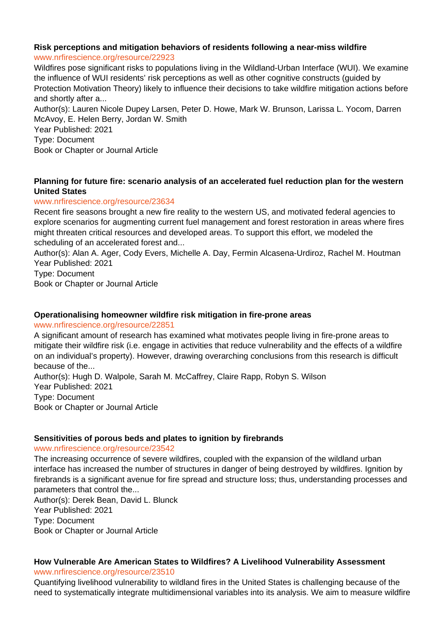# **Risk perceptions and mitigation behaviors of residents following a near-miss wildfire**

#### www.nrfirescience.org/resource/22923

Wildfires pose significant risks to populations living in the Wildland-Urban Interface (WUI). We examine the influence of WUI residents' risk perceptions as well as other cognitive constructs (guided by Protection Motivation Theory) likely to influence their decisions to take wildfire mitigation actions before and shortly after a...

Author(s): Lauren Nicole Dupey Larsen, Peter D. Howe, Mark W. Brunson, Larissa L. Yocom, Darren McAvoy, E. Helen Berry, Jordan W. Smith Year Published: 2021

Type: Document

Book or Chapter or Journal Article

# **Planning for future fire: scenario analysis of an accelerated fuel reduction plan for the western United States**

### www.nrfirescience.org/resource/23634

Recent fire seasons brought a new fire reality to the western US, and motivated federal agencies to explore scenarios for augmenting current fuel management and forest restoration in areas where fires might threaten critical resources and developed areas. To support this effort, we modeled the scheduling of an accelerated forest and...

Author(s): Alan A. Ager, Cody Evers, Michelle A. Day, Fermin Alcasena-Urdiroz, Rachel M. Houtman Year Published: 2021

Type: Document

Book or Chapter or Journal Article

# **Operationalising homeowner wildfire risk mitigation in fire-prone areas**

www.nrfirescience.org/resource/22851

A significant amount of research has examined what motivates people living in fire-prone areas to mitigate their wildfire risk (i.e. engage in activities that reduce vulnerability and the effects of a wildfire on an individual's property). However, drawing overarching conclusions from this research is difficult because of the...

Author(s): Hugh D. Walpole, Sarah M. McCaffrey, Claire Rapp, Robyn S. Wilson Year Published: 2021 Type: Document Book or Chapter or Journal Article

#### **Sensitivities of porous beds and plates to ignition by firebrands**

#### www.nrfirescience.org/resource/23542

The increasing occurrence of severe wildfires, coupled with the expansion of the wildland urban interface has increased the number of structures in danger of being destroyed by wildfires. Ignition by firebrands is a significant avenue for fire spread and structure loss; thus, understanding processes and parameters that control the...

Author(s): Derek Bean, David L. Blunck Year Published: 2021 Type: Document Book or Chapter or Journal Article

# **How Vulnerable Are American States to Wildfires? A Livelihood Vulnerability Assessment**

www.nrfirescience.org/resource/23510

Quantifying livelihood vulnerability to wildland fires in the United States is challenging because of the need to systematically integrate multidimensional variables into its analysis. We aim to measure wildfire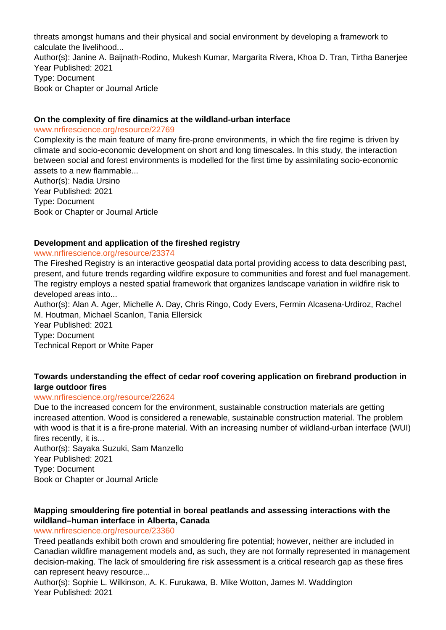threats amongst humans and their physical and social environment by developing a framework to calculate the livelihood...

Author(s): Janine A. Baijnath-Rodino, Mukesh Kumar, Margarita Rivera, Khoa D. Tran, Tirtha Banerjee Year Published: 2021 Type: Document

Book or Chapter or Journal Article

#### **On the complexity of fire dinamics at the wildland-urban interface**

www.nrfirescience.org/resource/22769

Complexity is the main feature of many fire-prone environments, in which the fire regime is driven by climate and socio-economic development on short and long timescales. In this study, the interaction between social and forest environments is modelled for the first time by assimilating socio-economic assets to a new flammable...

Author(s): Nadia Ursino Year Published: 2021 Type: Document Book or Chapter or Journal Article

# **Development and application of the fireshed registry**

### www.nrfirescience.org/resource/23374

The Fireshed Registry is an interactive geospatial data portal providing access to data describing past, present, and future trends regarding wildfire exposure to communities and forest and fuel management. The registry employs a nested spatial framework that organizes landscape variation in wildfire risk to developed areas into...

Author(s): Alan A. Ager, Michelle A. Day, Chris Ringo, Cody Evers, Fermin Alcasena-Urdiroz, Rachel M. Houtman, Michael Scanlon, Tania Ellersick

Year Published: 2021 Type: Document Technical Report or White Paper

# **Towards understanding the effect of cedar roof covering application on firebrand production in large outdoor fires**

# www.nrfirescience.org/resource/22624

Due to the increased concern for the environment, sustainable construction materials are getting increased attention. Wood is considered a renewable, sustainable construction material. The problem with wood is that it is a fire-prone material. With an increasing number of wildland-urban interface (WUI) fires recently, it is...

Author(s): Sayaka Suzuki, Sam Manzello Year Published: 2021 Type: Document Book or Chapter or Journal Article

# **Mapping smouldering fire potential in boreal peatlands and assessing interactions with the wildland–human interface in Alberta, Canada**

#### www.nrfirescience.org/resource/23360

Treed peatlands exhibit both crown and smouldering fire potential; however, neither are included in Canadian wildfire management models and, as such, they are not formally represented in management decision-making. The lack of smouldering fire risk assessment is a critical research gap as these fires can represent heavy resource...

Author(s): Sophie L. Wilkinson, A. K. Furukawa, B. Mike Wotton, James M. Waddington Year Published: 2021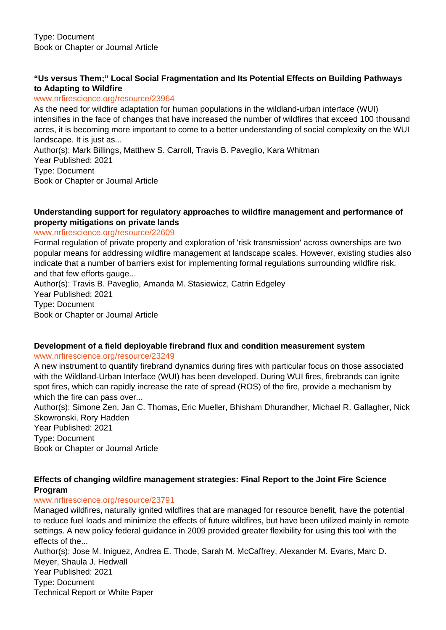# **"Us versus Them;" Local Social Fragmentation and Its Potential Effects on Building Pathways to Adapting to Wildfire**

#### www.nrfirescience.org/resource/23964

As the need for wildfire adaptation for human populations in the wildland-urban interface (WUI) intensifies in the face of changes that have increased the number of wildfires that exceed 100 thousand acres, it is becoming more important to come to a better understanding of social complexity on the WUI landscape. It is just as...

Author(s): Mark Billings, Matthew S. Carroll, Travis B. Paveglio, Kara Whitman Year Published: 2021 Type: Document Book or Chapter or Journal Article

### **Understanding support for regulatory approaches to wildfire management and performance of property mitigations on private lands**

### www.nrfirescience.org/resource/22609

Formal regulation of private property and exploration of 'risk transmission' across ownerships are two popular means for addressing wildfire management at landscape scales. However, existing studies also indicate that a number of barriers exist for implementing formal regulations surrounding wildfire risk, and that few efforts gauge...

Author(s): Travis B. Paveglio, Amanda M. Stasiewicz, Catrin Edgeley Year Published: 2021 Type: Document Book or Chapter or Journal Article

#### **Development of a field deployable firebrand flux and condition measurement system** www.nrfirescience.org/resource/23249

A new instrument to quantify firebrand dynamics during fires with particular focus on those associated with the Wildland-Urban Interface (WUI) has been developed. During WUI fires, firebrands can ignite spot fires, which can rapidly increase the rate of spread (ROS) of the fire, provide a mechanism by which the fire can pass over...

Author(s): Simone Zen, Jan C. Thomas, Eric Mueller, Bhisham Dhurandher, Michael R. Gallagher, Nick Skowronski, Rory Hadden

Year Published: 2021 Type: Document Book or Chapter or Journal Article

# **Effects of changing wildfire management strategies: Final Report to the Joint Fire Science Program**

# www.nrfirescience.org/resource/23791

Managed wildfires, naturally ignited wildfires that are managed for resource benefit, have the potential to reduce fuel loads and minimize the effects of future wildfires, but have been utilized mainly in remote settings. A new policy federal guidance in 2009 provided greater flexibility for using this tool with the effects of the...

Author(s): Jose M. Iniguez, Andrea E. Thode, Sarah M. McCaffrey, Alexander M. Evans, Marc D. Meyer, Shaula J. Hedwall Year Published: 2021 Type: Document Technical Report or White Paper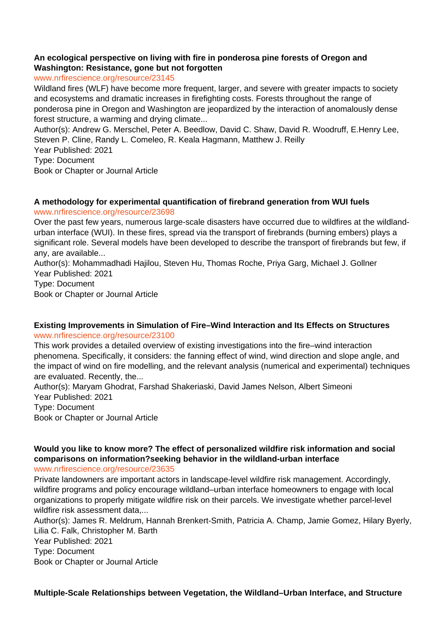# **An ecological perspective on living with fire in ponderosa pine forests of Oregon and Washington: Resistance, gone but not forgotten**

#### www.nrfirescience.org/resource/23145

Wildland fires (WLF) have become more frequent, larger, and severe with greater impacts to society and ecosystems and dramatic increases in firefighting costs. Forests throughout the range of ponderosa pine in Oregon and Washington are jeopardized by the interaction of anomalously dense forest structure, a warming and drying climate...

Author(s): Andrew G. Merschel, Peter A. Beedlow, David C. Shaw, David R. Woodruff, E.Henry Lee, Steven P. Cline, Randy L. Comeleo, R. Keala Hagmann, Matthew J. Reilly

Year Published: 2021

Type: Document

Book or Chapter or Journal Article

### **A methodology for experimental quantification of firebrand generation from WUI fuels** www.nrfirescience.org/resource/23698

Over the past few years, numerous large-scale disasters have occurred due to wildfires at the wildlandurban interface (WUI). In these fires, spread via the transport of firebrands (burning embers) plays a significant role. Several models have been developed to describe the transport of firebrands but few, if any, are available...

Author(s): Mohammadhadi Hajilou, Steven Hu, Thomas Roche, Priya Garg, Michael J. Gollner Year Published: 2021

Type: Document Book or Chapter or Journal Article

#### **Existing Improvements in Simulation of Fire–Wind Interaction and Its Effects on Structures** www.nrfirescience.org/resource/23100

This work provides a detailed overview of existing investigations into the fire–wind interaction phenomena. Specifically, it considers: the fanning effect of wind, wind direction and slope angle, and the impact of wind on fire modelling, and the relevant analysis (numerical and experimental) techniques are evaluated. Recently, the...

Author(s): Maryam Ghodrat, Farshad Shakeriaski, David James Nelson, Albert Simeoni Year Published: 2021 Type: Document Book or Chapter or Journal Article

# **Would you like to know more? The effect of personalized wildfire risk information and social comparisons on information?seeking behavior in the wildland-urban interface**

www.nrfirescience.org/resource/23635

Private landowners are important actors in landscape-level wildfire risk management. Accordingly, wildfire programs and policy encourage wildland–urban interface homeowners to engage with local organizations to properly mitigate wildfire risk on their parcels. We investigate whether parcel-level wildfire risk assessment data,...

Author(s): James R. Meldrum, Hannah Brenkert-Smith, Patricia A. Champ, Jamie Gomez, Hilary Byerly, Lilia C. Falk, Christopher M. Barth

Year Published: 2021 Type: Document Book or Chapter or Journal Article

**Multiple-Scale Relationships between Vegetation, the Wildland–Urban Interface, and Structure**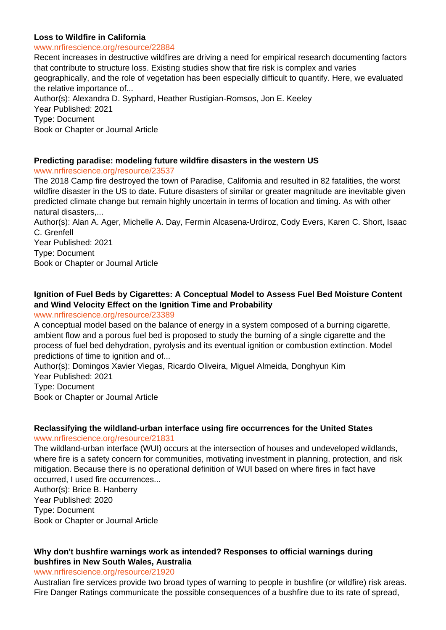#### **Loss to Wildfire in California**

#### www.nrfirescience.org/resource/22884

Recent increases in destructive wildfires are driving a need for empirical research documenting factors that contribute to structure loss. Existing studies show that fire risk is complex and varies geographically, and the role of vegetation has been especially difficult to quantify. Here, we evaluated the relative importance of... Author(s): Alexandra D. Syphard, Heather Rustigian-Romsos, Jon E. Keeley Year Published: 2021 Type: Document Book or Chapter or Journal Article

# **Predicting paradise: modeling future wildfire disasters in the western US**

www.nrfirescience.org/resource/23537

The 2018 Camp fire destroyed the town of Paradise, California and resulted in 82 fatalities, the worst wildfire disaster in the US to date. Future disasters of similar or greater magnitude are inevitable given predicted climate change but remain highly uncertain in terms of location and timing. As with other natural disasters,...

Author(s): Alan A. Ager, Michelle A. Day, Fermin Alcasena-Urdiroz, Cody Evers, Karen C. Short, Isaac C. Grenfell

Year Published: 2021 Type: Document Book or Chapter or Journal Article

# **Ignition of Fuel Beds by Cigarettes: A Conceptual Model to Assess Fuel Bed Moisture Content and Wind Velocity Effect on the Ignition Time and Probability**

#### www.nrfirescience.org/resource/23389

A conceptual model based on the balance of energy in a system composed of a burning cigarette, ambient flow and a porous fuel bed is proposed to study the burning of a single cigarette and the process of fuel bed dehydration, pyrolysis and its eventual ignition or combustion extinction. Model predictions of time to ignition and of...

Author(s): Domingos Xavier Viegas, Ricardo Oliveira, Miguel Almeida, Donghyun Kim Year Published: 2021

Type: Document Book or Chapter or Journal Article

# **Reclassifying the wildland-urban interface using fire occurrences for the United States**

#### www.nrfirescience.org/resource/21831

The wildland-urban interface (WUI) occurs at the intersection of houses and undeveloped wildlands, where fire is a safety concern for communities, motivating investment in planning, protection, and risk mitigation. Because there is no operational definition of WUI based on where fires in fact have occurred, I used fire occurrences...

Author(s): Brice B. Hanberry Year Published: 2020 Type: Document Book or Chapter or Journal Article

# **Why don't bushfire warnings work as intended? Responses to official warnings during bushfires in New South Wales, Australia**

#### www.nrfirescience.org/resource/21920

Australian fire services provide two broad types of warning to people in bushfire (or wildfire) risk areas. Fire Danger Ratings communicate the possible consequences of a bushfire due to its rate of spread,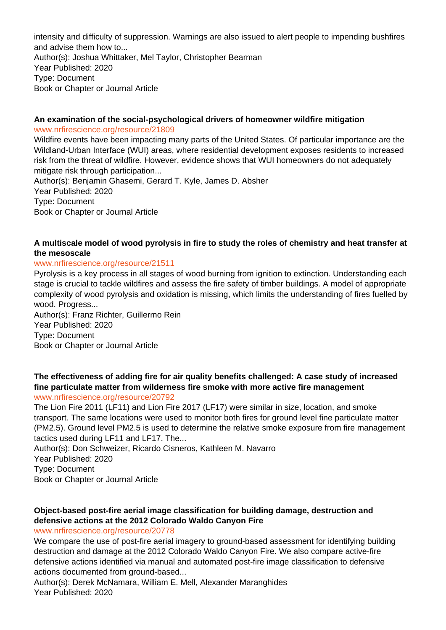intensity and difficulty of suppression. Warnings are also issued to alert people to impending bushfires and advise them how to... Author(s): Joshua Whittaker, Mel Taylor, Christopher Bearman Year Published: 2020 Type: Document Book or Chapter or Journal Article

#### **An examination of the social-psychological drivers of homeowner wildfire mitigation** www.nrfirescience.org/resource/21809

Wildfire events have been impacting many parts of the United States. Of particular importance are the Wildland-Urban Interface (WUI) areas, where residential development exposes residents to increased risk from the threat of wildfire. However, evidence shows that WUI homeowners do not adequately mitigate risk through participation...

Author(s): Benjamin Ghasemi, Gerard T. Kyle, James D. Absher Year Published: 2020 Type: Document Book or Chapter or Journal Article

# **A multiscale model of wood pyrolysis in fire to study the roles of chemistry and heat transfer at the mesoscale**

### www.nrfirescience.org/resource/21511

Pyrolysis is a key process in all stages of wood burning from ignition to extinction. Understanding each stage is crucial to tackle wildfires and assess the fire safety of timber buildings. A model of appropriate complexity of wood pyrolysis and oxidation is missing, which limits the understanding of fires fuelled by wood. Progress...

Author(s): Franz Richter, Guillermo Rein Year Published: 2020 Type: Document Book or Chapter or Journal Article

#### **The effectiveness of adding fire for air quality benefits challenged: A case study of increased fine particulate matter from wilderness fire smoke with more active fire management** www.nrfirescience.org/resource/20792

The Lion Fire 2011 (LF11) and Lion Fire 2017 (LF17) were similar in size, location, and smoke transport. The same locations were used to monitor both fires for ground level fine particulate matter (PM2.5). Ground level PM2.5 is used to determine the relative smoke exposure from fire management tactics used during LF11 and LF17. The...

Author(s): Don Schweizer, Ricardo Cisneros, Kathleen M. Navarro

Year Published: 2020

Type: Document

Book or Chapter or Journal Article

# **Object-based post-fire aerial image classification for building damage, destruction and defensive actions at the 2012 Colorado Waldo Canyon Fire**

#### www.nrfirescience.org/resource/20778

We compare the use of post-fire aerial imagery to ground-based assessment for identifying building destruction and damage at the 2012 Colorado Waldo Canyon Fire. We also compare active-fire defensive actions identified via manual and automated post-fire image classification to defensive actions documented from ground-based...

Author(s): Derek McNamara, William E. Mell, Alexander Maranghides Year Published: 2020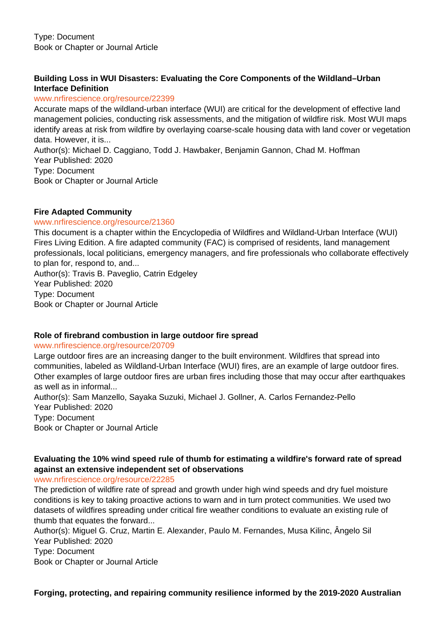# **Building Loss in WUI Disasters: Evaluating the Core Components of the Wildland–Urban Interface Definition**

#### www.nrfirescience.org/resource/22399

Accurate maps of the wildland-urban interface (WUI) are critical for the development of effective land management policies, conducting risk assessments, and the mitigation of wildfire risk. Most WUI maps identify areas at risk from wildfire by overlaying coarse-scale housing data with land cover or vegetation data. However, it is...

Author(s): Michael D. Caggiano, Todd J. Hawbaker, Benjamin Gannon, Chad M. Hoffman Year Published: 2020 Type: Document Book or Chapter or Journal Article

### **Fire Adapted Community**

#### www.nrfirescience.org/resource/21360

This document is a chapter within the Encyclopedia of Wildfires and Wildland-Urban Interface (WUI) Fires Living Edition. A fire adapted community (FAC) is comprised of residents, land management professionals, local politicians, emergency managers, and fire professionals who collaborate effectively to plan for, respond to, and...

Author(s): Travis B. Paveglio, Catrin Edgeley Year Published: 2020 Type: Document Book or Chapter or Journal Article

#### **Role of firebrand combustion in large outdoor fire spread**

#### www.nrfirescience.org/resource/20709

Large outdoor fires are an increasing danger to the built environment. Wildfires that spread into communities, labeled as Wildland-Urban Interface (WUI) fires, are an example of large outdoor fires. Other examples of large outdoor fires are urban fires including those that may occur after earthquakes as well as in informal...

Author(s): Sam Manzello, Sayaka Suzuki, Michael J. Gollner, A. Carlos Fernandez-Pello Year Published: 2020 Type: Document Book or Chapter or Journal Article

# **Evaluating the 10% wind speed rule of thumb for estimating a wildfire's forward rate of spread against an extensive independent set of observations**

www.nrfirescience.org/resource/22285

The prediction of wildfire rate of spread and growth under high wind speeds and dry fuel moisture conditions is key to taking proactive actions to warn and in turn protect communities. We used two datasets of wildfires spreading under critical fire weather conditions to evaluate an existing rule of thumb that equates the forward...

Author(s): Miguel G. Cruz, Martin E. Alexander, Paulo M. Fernandes, Musa Kilinc, Ângelo Sil Year Published: 2020 Type: Document Book or Chapter or Journal Article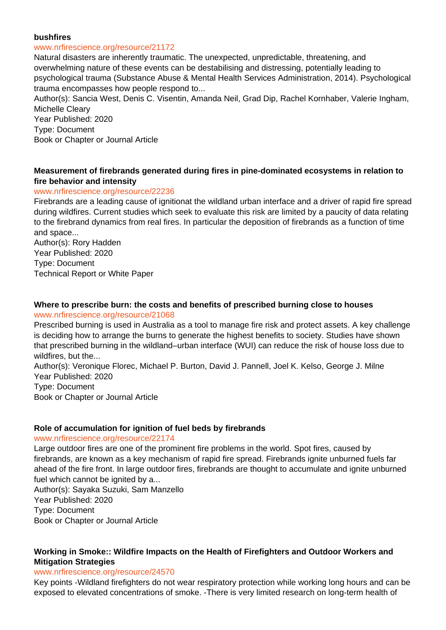#### **bushfires**

#### www.nrfirescience.org/resource/21172

Natural disasters are inherently traumatic. The unexpected, unpredictable, threatening, and overwhelming nature of these events can be destabilising and distressing, potentially leading to psychological trauma (Substance Abuse & Mental Health Services Administration, 2014). Psychological trauma encompasses how people respond to...

Author(s): Sancia West, Denis C. Visentin, Amanda Neil, Grad Dip, Rachel Kornhaber, Valerie Ingham, Michelle Cleary

Year Published: 2020 Type: Document Book or Chapter or Journal Article

#### **Measurement of firebrands generated during fires in pine-dominated ecosystems in relation to fire behavior and intensity**

#### www.nrfirescience.org/resource/22236

Firebrands are a leading cause of ignitionat the wildland urban interface and a driver of rapid fire spread during wildfires. Current studies which seek to evaluate this risk are limited by a paucity of data relating to the firebrand dynamics from real fires. In particular the deposition of firebrands as a function of time and space...

Author(s): Rory Hadden Year Published: 2020 Type: Document Technical Report or White Paper

#### **Where to prescribe burn: the costs and benefits of prescribed burning close to houses** www.nrfirescience.org/resource/21068

Prescribed burning is used in Australia as a tool to manage fire risk and protect assets. A key challenge is deciding how to arrange the burns to generate the highest benefits to society. Studies have shown that prescribed burning in the wildland–urban interface (WUI) can reduce the risk of house loss due to wildfires, but the...

Author(s): Veronique Florec, Michael P. Burton, David J. Pannell, Joel K. Kelso, George J. Milne Year Published: 2020

Type: Document Book or Chapter or Journal Article

#### **Role of accumulation for ignition of fuel beds by firebrands**

#### www.nrfirescience.org/resource/22174

Large outdoor fires are one of the prominent fire problems in the world. Spot fires, caused by firebrands, are known as a key mechanism of rapid fire spread. Firebrands ignite unburned fuels far ahead of the fire front. In large outdoor fires, firebrands are thought to accumulate and ignite unburned fuel which cannot be ignited by a...

Author(s): Sayaka Suzuki, Sam Manzello Year Published: 2020 Type: Document Book or Chapter or Journal Article

### **Working in Smoke:: Wildfire Impacts on the Health of Firefighters and Outdoor Workers and Mitigation Strategies**

#### www.nrfirescience.org/resource/24570

Key points -Wildland firefighters do not wear respiratory protection while working long hours and can be exposed to elevated concentrations of smoke. -There is very limited research on long-term health of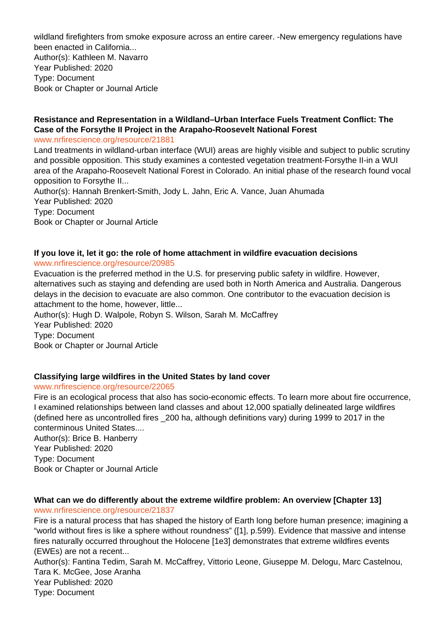wildland firefighters from smoke exposure across an entire career. -New emergency regulations have been enacted in California...

Author(s): Kathleen M. Navarro Year Published: 2020 Type: Document Book or Chapter or Journal Article

# **Resistance and Representation in a Wildland–Urban Interface Fuels Treatment Conflict: The Case of the Forsythe II Project in the Arapaho-Roosevelt National Forest**

www.nrfirescience.org/resource/21881

Land treatments in wildland-urban interface (WUI) areas are highly visible and subject to public scrutiny and possible opposition. This study examines a contested vegetation treatment-Forsythe II-in a WUI area of the Arapaho-Roosevelt National Forest in Colorado. An initial phase of the research found vocal opposition to Forsythe II... Author(s): Hannah Brenkert-Smith, Jody L. Jahn, Eric A. Vance, Juan Ahumada

Year Published: 2020 Type: Document Book or Chapter or Journal Article

# **If you love it, let it go: the role of home attachment in wildfire evacuation decisions**

# www.nrfirescience.org/resource/20985

Evacuation is the preferred method in the U.S. for preserving public safety in wildfire. However, alternatives such as staying and defending are used both in North America and Australia. Dangerous delays in the decision to evacuate are also common. One contributor to the evacuation decision is attachment to the home, however, little...

Author(s): Hugh D. Walpole, Robyn S. Wilson, Sarah M. McCaffrey Year Published: 2020 Type: Document Book or Chapter or Journal Article

# **Classifying large wildfires in the United States by land cover**

# www.nrfirescience.org/resource/22065

Fire is an ecological process that also has socio-economic effects. To learn more about fire occurrence, I examined relationships between land classes and about 12,000 spatially delineated large wildfires (defined here as uncontrolled fires \_200 ha, although definitions vary) during 1999 to 2017 in the conterminous United States....

Author(s): Brice B. Hanberry Year Published: 2020 Type: Document Book or Chapter or Journal Article

# **What can we do differently about the extreme wildfire problem: An overview [Chapter 13]** www.nrfirescience.org/resource/21837

Fire is a natural process that has shaped the history of Earth long before human presence; imagining a "world without fires is like a sphere without roundness" ([1], p.599). Evidence that massive and intense fires naturally occurred throughout the Holocene [1e3] demonstrates that extreme wildfires events (EWEs) are not a recent...

Author(s): Fantina Tedim, Sarah M. McCaffrey, Vittorio Leone, Giuseppe M. Delogu, Marc Castelnou, Tara K. McGee, Jose Aranha Year Published: 2020 Type: Document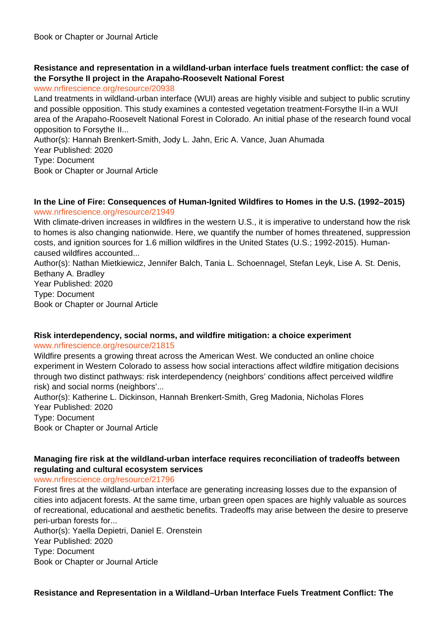# **Resistance and representation in a wildland-urban interface fuels treatment conflict: the case of the Forsythe II project in the Arapaho-Roosevelt National Forest**

www.nrfirescience.org/resource/20938

Land treatments in wildland-urban interface (WUI) areas are highly visible and subject to public scrutiny and possible opposition. This study examines a contested vegetation treatment-Forsythe II-in a WUI area of the Arapaho-Roosevelt National Forest in Colorado. An initial phase of the research found vocal opposition to Forsythe II...

Author(s): Hannah Brenkert-Smith, Jody L. Jahn, Eric A. Vance, Juan Ahumada

Year Published: 2020

Type: Document

Book or Chapter or Journal Article

### **In the Line of Fire: Consequences of Human-Ignited Wildfires to Homes in the U.S. (1992–2015)** www.nrfirescience.org/resource/21949

With climate-driven increases in wildfires in the western U.S., it is imperative to understand how the risk to homes is also changing nationwide. Here, we quantify the number of homes threatened, suppression costs, and ignition sources for 1.6 million wildfires in the United States (U.S.; 1992-2015). Humancaused wildfires accounted...

Author(s): Nathan Mietkiewicz, Jennifer Balch, Tania L. Schoennagel, Stefan Leyk, Lise A. St. Denis, Bethany A. Bradley Year Published: 2020

Type: Document Book or Chapter or Journal Article

# **Risk interdependency, social norms, and wildfire mitigation: a choice experiment**

#### www.nrfirescience.org/resource/21815

Wildfire presents a growing threat across the American West. We conducted an online choice experiment in Western Colorado to assess how social interactions affect wildfire mitigation decisions through two distinct pathways: risk interdependency (neighbors' conditions affect perceived wildfire risk) and social norms (neighbors'...

Author(s): Katherine L. Dickinson, Hannah Brenkert-Smith, Greg Madonia, Nicholas Flores Year Published: 2020 Type: Document

Book or Chapter or Journal Article

# **Managing fire risk at the wildland-urban interface requires reconciliation of tradeoffs between regulating and cultural ecosystem services**

www.nrfirescience.org/resource/21796

Forest fires at the wildland-urban interface are generating increasing losses due to the expansion of cities into adjacent forests. At the same time, urban green open spaces are highly valuable as sources of recreational, educational and aesthetic benefits. Tradeoffs may arise between the desire to preserve peri-urban forests for...

Author(s): Yaella Depietri, Daniel E. Orenstein Year Published: 2020 Type: Document Book or Chapter or Journal Article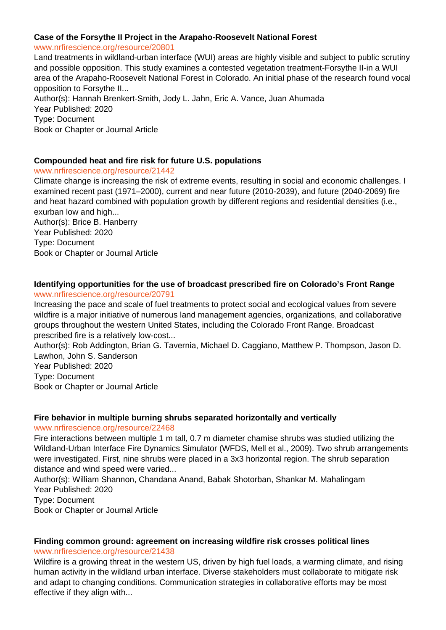#### **Case of the Forsythe II Project in the Arapaho-Roosevelt National Forest**

#### www.nrfirescience.org/resource/20801

Land treatments in wildland-urban interface (WUI) areas are highly visible and subject to public scrutiny and possible opposition. This study examines a contested vegetation treatment-Forsythe II-in a WUI area of the Arapaho-Roosevelt National Forest in Colorado. An initial phase of the research found vocal opposition to Forsythe II... Author(s): Hannah Brenkert-Smith, Jody L. Jahn, Eric A. Vance, Juan Ahumada Year Published: 2020 Type: Document

Book or Chapter or Journal Article

### **Compounded heat and fire risk for future U.S. populations**

### www.nrfirescience.org/resource/21442

Climate change is increasing the risk of extreme events, resulting in social and economic challenges. I examined recent past (1971–2000), current and near future (2010-2039), and future (2040-2069) fire and heat hazard combined with population growth by different regions and residential densities (i.e., exurban low and high...

Author(s): Brice B. Hanberry Year Published: 2020 Type: Document Book or Chapter or Journal Article

# **Identifying opportunities for the use of broadcast prescribed fire on Colorado's Front Range**

#### www.nrfirescience.org/resource/20791

Increasing the pace and scale of fuel treatments to protect social and ecological values from severe wildfire is a major initiative of numerous land management agencies, organizations, and collaborative groups throughout the western United States, including the Colorado Front Range. Broadcast prescribed fire is a relatively low-cost...

Author(s): Rob Addington, Brian G. Tavernia, Michael D. Caggiano, Matthew P. Thompson, Jason D. Lawhon, John S. Sanderson Year Published: 2020

Type: Document

Book or Chapter or Journal Article

# **Fire behavior in multiple burning shrubs separated horizontally and vertically**

www.nrfirescience.org/resource/22468

Fire interactions between multiple 1 m tall, 0.7 m diameter chamise shrubs was studied utilizing the Wildland-Urban Interface Fire Dynamics Simulator (WFDS, Mell et al., 2009). Two shrub arrangements were investigated. First, nine shrubs were placed in a 3x3 horizontal region. The shrub separation distance and wind speed were varied...

Author(s): William Shannon, Chandana Anand, Babak Shotorban, Shankar M. Mahalingam Year Published: 2020 Type: Document

Book or Chapter or Journal Article

# **Finding common ground: agreement on increasing wildfire risk crosses political lines** www.nrfirescience.org/resource/21438

Wildfire is a growing threat in the western US, driven by high fuel loads, a warming climate, and rising human activity in the wildland urban interface. Diverse stakeholders must collaborate to mitigate risk and adapt to changing conditions. Communication strategies in collaborative efforts may be most effective if they align with...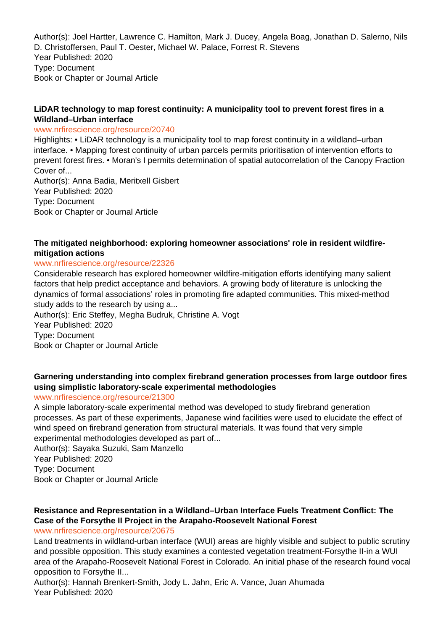Author(s): Joel Hartter, Lawrence C. Hamilton, Mark J. Ducey, Angela Boag, Jonathan D. Salerno, Nils D. Christoffersen, Paul T. Oester, Michael W. Palace, Forrest R. Stevens Year Published: 2020 Type: Document Book or Chapter or Journal Article

# **LiDAR technology to map forest continuity: A municipality tool to prevent forest fires in a Wildland–Urban interface**

#### www.nrfirescience.org/resource/20740

Highlights: • LiDAR technology is a municipality tool to map forest continuity in a wildland–urban interface. • Mapping forest continuity of urban parcels permits prioritisation of intervention efforts to prevent forest fires. • Moran's I permits determination of spatial autocorrelation of the Canopy Fraction Cover of...

Author(s): Anna Badia, Meritxell Gisbert Year Published: 2020 Type: Document Book or Chapter or Journal Article

# **The mitigated neighborhood: exploring homeowner associations' role in resident wildfiremitigation actions**

### www.nrfirescience.org/resource/22326

Considerable research has explored homeowner wildfire-mitigation efforts identifying many salient factors that help predict acceptance and behaviors. A growing body of literature is unlocking the dynamics of formal associations' roles in promoting fire adapted communities. This mixed-method study adds to the research by using a...

Author(s): Eric Steffey, Megha Budruk, Christine A. Vogt Year Published: 2020 Type: Document Book or Chapter or Journal Article

# **Garnering understanding into complex firebrand generation processes from large outdoor fires using simplistic laboratory-scale experimental methodologies**

# www.nrfirescience.org/resource/21300

A simple laboratory-scale experimental method was developed to study firebrand generation processes. As part of these experiments, Japanese wind facilities were used to elucidate the effect of wind speed on firebrand generation from structural materials. It was found that very simple experimental methodologies developed as part of...

Author(s): Sayaka Suzuki, Sam Manzello Year Published: 2020

Type: Document

Book or Chapter or Journal Article

# **Resistance and Representation in a Wildland–Urban Interface Fuels Treatment Conflict: The Case of the Forsythe II Project in the Arapaho-Roosevelt National Forest**

#### www.nrfirescience.org/resource/20675

Land treatments in wildland-urban interface (WUI) areas are highly visible and subject to public scrutiny and possible opposition. This study examines a contested vegetation treatment-Forsythe II-in a WUI area of the Arapaho-Roosevelt National Forest in Colorado. An initial phase of the research found vocal opposition to Forsythe II...

Author(s): Hannah Brenkert-Smith, Jody L. Jahn, Eric A. Vance, Juan Ahumada Year Published: 2020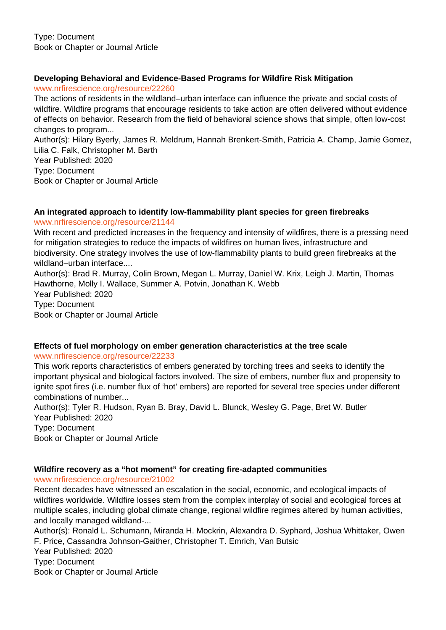# **Developing Behavioral and Evidence-Based Programs for Wildfire Risk Mitigation**

www.nrfirescience.org/resource/22260

The actions of residents in the wildland–urban interface can influence the private and social costs of wildfire. Wildfire programs that encourage residents to take action are often delivered without evidence of effects on behavior. Research from the field of behavioral science shows that simple, often low-cost changes to program...

Author(s): Hilary Byerly, James R. Meldrum, Hannah Brenkert-Smith, Patricia A. Champ, Jamie Gomez, Lilia C. Falk, Christopher M. Barth

Year Published: 2020 Type: Document Book or Chapter or Journal Article

### **An integrated approach to identify low-flammability plant species for green firebreaks** www.nrfirescience.org/resource/21144

With recent and predicted increases in the frequency and intensity of wildfires, there is a pressing need for mitigation strategies to reduce the impacts of wildfires on human lives, infrastructure and biodiversity. One strategy involves the use of low-flammability plants to build green firebreaks at the wildland–urban interface....

Author(s): Brad R. Murray, Colin Brown, Megan L. Murray, Daniel W. Krix, Leigh J. Martin, Thomas Hawthorne, Molly I. Wallace, Summer A. Potvin, Jonathan K. Webb Year Published: 2020 Type: Document Book or Chapter or Journal Article

#### **Effects of fuel morphology on ember generation characteristics at the tree scale** www.nrfirescience.org/resource/22233

This work reports characteristics of embers generated by torching trees and seeks to identify the important physical and biological factors involved. The size of embers, number flux and propensity to ignite spot fires (i.e. number flux of 'hot' embers) are reported for several tree species under different combinations of number...

Author(s): Tyler R. Hudson, Ryan B. Bray, David L. Blunck, Wesley G. Page, Bret W. Butler Year Published: 2020 Type: Document Book or Chapter or Journal Article

# **Wildfire recovery as a "hot moment" for creating fire-adapted communities**

www.nrfirescience.org/resource/21002

Recent decades have witnessed an escalation in the social, economic, and ecological impacts of wildfires worldwide. Wildfire losses stem from the complex interplay of social and ecological forces at multiple scales, including global climate change, regional wildfire regimes altered by human activities, and locally managed wildland-...

Author(s): Ronald L. Schumann, Miranda H. Mockrin, Alexandra D. Syphard, Joshua Whittaker, Owen F. Price, Cassandra Johnson-Gaither, Christopher T. Emrich, Van Butsic Year Published: 2020

Type: Document

Book or Chapter or Journal Article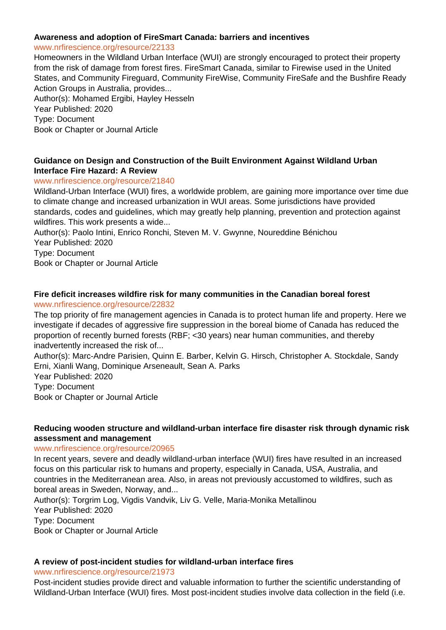#### **Awareness and adoption of FireSmart Canada: barriers and incentives**

www.nrfirescience.org/resource/22133

Homeowners in the Wildland Urban Interface (WUI) are strongly encouraged to protect their property from the risk of damage from forest fires. FireSmart Canada, similar to Firewise used in the United States, and Community Fireguard, Community FireWise, Community FireSafe and the Bushfire Ready Action Groups in Australia, provides...

Author(s): Mohamed Ergibi, Hayley Hesseln Year Published: 2020 Type: Document Book or Chapter or Journal Article

# **Guidance on Design and Construction of the Built Environment Against Wildland Urban Interface Fire Hazard: A Review**

### www.nrfirescience.org/resource/21840

Wildland-Urban Interface (WUI) fires, a worldwide problem, are gaining more importance over time due to climate change and increased urbanization in WUI areas. Some jurisdictions have provided standards, codes and guidelines, which may greatly help planning, prevention and protection against wildfires. This work presents a wide...

Author(s): Paolo Intini, Enrico Ronchi, Steven M. V. Gwynne, Noureddine Bénichou Year Published: 2020

Type: Document

Book or Chapter or Journal Article

#### **Fire deficit increases wildfire risk for many communities in the Canadian boreal forest** www.nrfirescience.org/resource/22832

The top priority of fire management agencies in Canada is to protect human life and property. Here we investigate if decades of aggressive fire suppression in the boreal biome of Canada has reduced the proportion of recently burned forests (RBF; <30 years) near human communities, and thereby inadvertently increased the risk of...

Author(s): Marc-Andre Parisien, Quinn E. Barber, Kelvin G. Hirsch, Christopher A. Stockdale, Sandy Erni, Xianli Wang, Dominique Arseneault, Sean A. Parks

Year Published: 2020 Type: Document

Book or Chapter or Journal Article

### **Reducing wooden structure and wildland-urban interface fire disaster risk through dynamic risk assessment and management**

#### www.nrfirescience.org/resource/20965

In recent years, severe and deadly wildland-urban interface (WUI) fires have resulted in an increased focus on this particular risk to humans and property, especially in Canada, USA, Australia, and countries in the Mediterranean area. Also, in areas not previously accustomed to wildfires, such as boreal areas in Sweden, Norway, and...

Author(s): Torgrim Log, Vigdis Vandvik, Liv G. Velle, Maria-Monika Metallinou Year Published: 2020 Type: Document Book or Chapter or Journal Article

# **A review of post-incident studies for wildland-urban interface fires**

www.nrfirescience.org/resource/21973

Post-incident studies provide direct and valuable information to further the scientific understanding of Wildland-Urban Interface (WUI) fires. Most post-incident studies involve data collection in the field (i.e.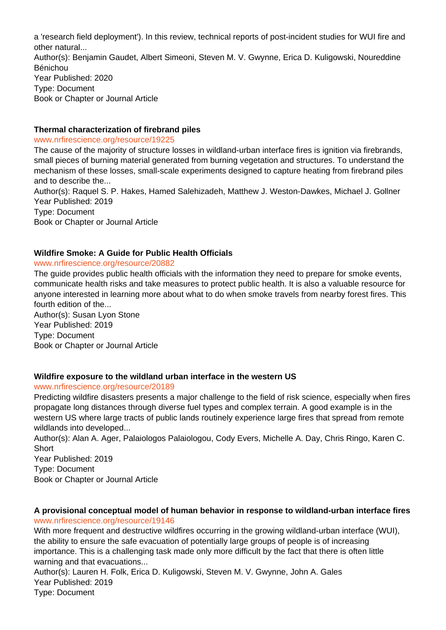a 'research field deployment'). In this review, technical reports of post-incident studies for WUI fire and other natural... Author(s): Benjamin Gaudet, Albert Simeoni, Steven M. V. Gwynne, Erica D. Kuligowski, Noureddine Bénichou Year Published: 2020 Type: Document Book or Chapter or Journal Article

#### **Thermal characterization of firebrand piles**

www.nrfirescience.org/resource/19225

The cause of the majority of structure losses in wildland-urban interface fires is ignition via firebrands, small pieces of burning material generated from burning vegetation and structures. To understand the mechanism of these losses, small-scale experiments designed to capture heating from firebrand piles and to describe the...

Author(s): Raquel S. P. Hakes, Hamed Salehizadeh, Matthew J. Weston-Dawkes, Michael J. Gollner Year Published: 2019

Type: Document

Book or Chapter or Journal Article

### **Wildfire Smoke: A Guide for Public Health Officials**

### www.nrfirescience.org/resource/20882

The guide provides public health officials with the information they need to prepare for smoke events, communicate health risks and take measures to protect public health. It is also a valuable resource for anyone interested in learning more about what to do when smoke travels from nearby forest fires. This fourth edition of the...

Author(s): Susan Lyon Stone Year Published: 2019 Type: Document Book or Chapter or Journal Article

# **Wildfire exposure to the wildland urban interface in the western US**

www.nrfirescience.org/resource/20189

Predicting wildfire disasters presents a major challenge to the field of risk science, especially when fires propagate long distances through diverse fuel types and complex terrain. A good example is in the western US where large tracts of public lands routinely experience large fires that spread from remote wildlands into developed...

Author(s): Alan A. Ager, Palaiologos Palaiologou, Cody Evers, Michelle A. Day, Chris Ringo, Karen C. **Short** 

Year Published: 2019 Type: Document Book or Chapter or Journal Article

#### **A provisional conceptual model of human behavior in response to wildland-urban interface fires** www.nrfirescience.org/resource/19146

With more frequent and destructive wildfires occurring in the growing wildland-urban interface (WUI), the ability to ensure the safe evacuation of potentially large groups of people is of increasing importance. This is a challenging task made only more difficult by the fact that there is often little warning and that evacuations...

Author(s): Lauren H. Folk, Erica D. Kuligowski, Steven M. V. Gwynne, John A. Gales Year Published: 2019 Type: Document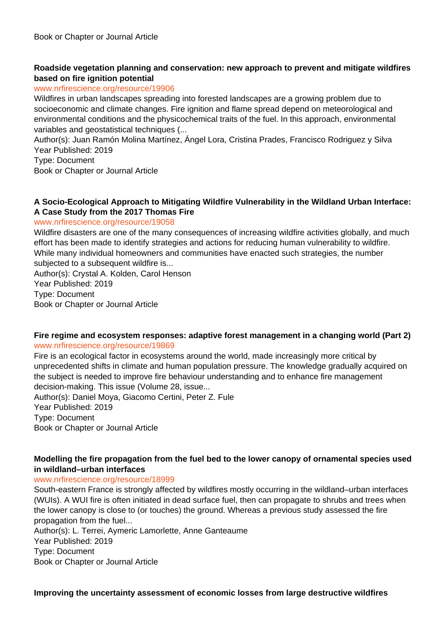# **Roadside vegetation planning and conservation: new approach to prevent and mitigate wildfires based on fire ignition potential**

### www.nrfirescience.org/resource/19906

Wildfires in urban landscapes spreading into forested landscapes are a growing problem due to socioeconomic and climate changes. Fire ignition and flame spread depend on meteorological and environmental conditions and the physicochemical traits of the fuel. In this approach, environmental variables and geostatistical techniques (...

Author(s): Juan Ramón Molina Martínez, Ángel Lora, Cristina Prades, Francisco Rodriguez y Silva Year Published: 2019

Type: Document

Book or Chapter or Journal Article

### **A Socio-Ecological Approach to Mitigating Wildfire Vulnerability in the Wildland Urban Interface: A Case Study from the 2017 Thomas Fire**

### www.nrfirescience.org/resource/19058

Wildfire disasters are one of the many consequences of increasing wildfire activities globally, and much effort has been made to identify strategies and actions for reducing human vulnerability to wildfire. While many individual homeowners and communities have enacted such strategies, the number subjected to a subsequent wildfire is...

Author(s): Crystal A. Kolden, Carol Henson Year Published: 2019 Type: Document Book or Chapter or Journal Article

### **Fire regime and ecosystem responses: adaptive forest management in a changing world (Part 2)** www.nrfirescience.org/resource/19869

Fire is an ecological factor in ecosystems around the world, made increasingly more critical by unprecedented shifts in climate and human population pressure. The knowledge gradually acquired on the subject is needed to improve fire behaviour understanding and to enhance fire management decision-making. This issue (Volume 28, issue... Author(s): Daniel Moya, Giacomo Certini, Peter Z. Fule Year Published: 2019

Type: Document

Book or Chapter or Journal Article

# **Modelling the fire propagation from the fuel bed to the lower canopy of ornamental species used in wildland–urban interfaces**

#### www.nrfirescience.org/resource/18999

South-eastern France is strongly affected by wildfires mostly occurring in the wildland–urban interfaces (WUIs). A WUI fire is often initiated in dead surface fuel, then can propagate to shrubs and trees when the lower canopy is close to (or touches) the ground. Whereas a previous study assessed the fire propagation from the fuel...

Author(s): L. Terrei, Aymeric Lamorlette, Anne Ganteaume

Year Published: 2019

Type: Document

Book or Chapter or Journal Article

**Improving the uncertainty assessment of economic losses from large destructive wildfires**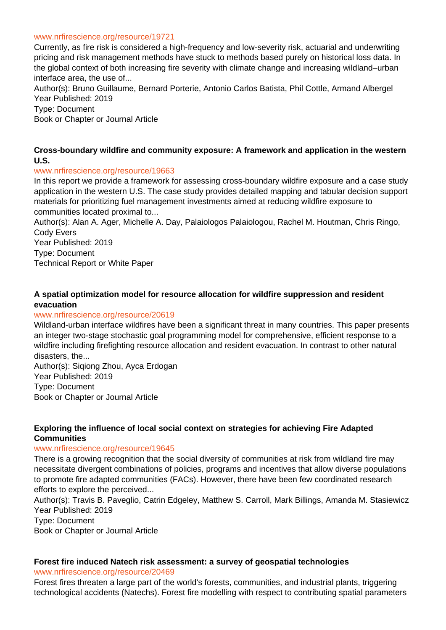#### www.nrfirescience.org/resource/19721

Currently, as fire risk is considered a high-frequency and low-severity risk, actuarial and underwriting pricing and risk management methods have stuck to methods based purely on historical loss data. In the global context of both increasing fire severity with climate change and increasing wildland–urban interface area, the use of...

Author(s): Bruno Guillaume, Bernard Porterie, Antonio Carlos Batista, Phil Cottle, Armand Albergel Year Published: 2019

Type: Document

Book or Chapter or Journal Article

#### **Cross-boundary wildfire and community exposure: A framework and application in the western U.S.**

#### www.nrfirescience.org/resource/19663

In this report we provide a framework for assessing cross-boundary wildfire exposure and a case study application in the western U.S. The case study provides detailed mapping and tabular decision support materials for prioritizing fuel management investments aimed at reducing wildfire exposure to communities located proximal to...

Author(s): Alan A. Ager, Michelle A. Day, Palaiologos Palaiologou, Rachel M. Houtman, Chris Ringo, Cody Evers

Year Published: 2019 Type: Document Technical Report or White Paper

# **A spatial optimization model for resource allocation for wildfire suppression and resident evacuation**

#### www.nrfirescience.org/resource/20619

Wildland-urban interface wildfires have been a significant threat in many countries. This paper presents an integer two-stage stochastic goal programming model for comprehensive, efficient response to a wildfire including firefighting resource allocation and resident evacuation. In contrast to other natural disasters, the...

Author(s): Siqiong Zhou, Ayca Erdogan Year Published: 2019 Type: Document Book or Chapter or Journal Article

### **Exploring the influence of local social context on strategies for achieving Fire Adapted Communities**

#### www.nrfirescience.org/resource/19645

There is a growing recognition that the social diversity of communities at risk from wildland fire may necessitate divergent combinations of policies, programs and incentives that allow diverse populations to promote fire adapted communities (FACs). However, there have been few coordinated research efforts to explore the perceived...

Author(s): Travis B. Paveglio, Catrin Edgeley, Matthew S. Carroll, Mark Billings, Amanda M. Stasiewicz Year Published: 2019 Type: Document

Book or Chapter or Journal Article

#### **Forest fire induced Natech risk assessment: a survey of geospatial technologies**

www.nrfirescience.org/resource/20469

Forest fires threaten a large part of the world's forests, communities, and industrial plants, triggering technological accidents (Natechs). Forest fire modelling with respect to contributing spatial parameters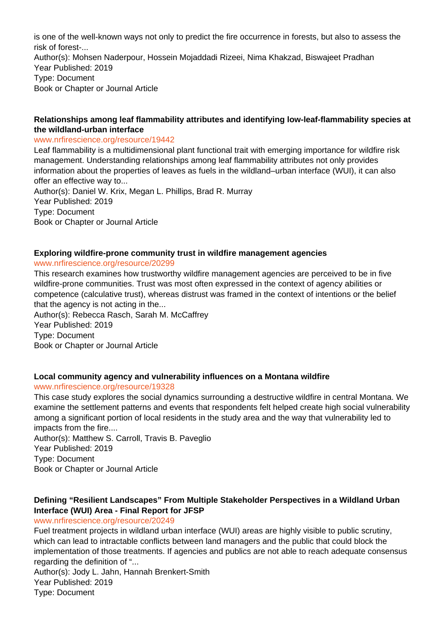is one of the well-known ways not only to predict the fire occurrence in forests, but also to assess the risk of forest-... Author(s): Mohsen Naderpour, Hossein Mojaddadi Rizeei, Nima Khakzad, Biswajeet Pradhan Year Published: 2019 Type: Document Book or Chapter or Journal Article

#### **Relationships among leaf flammability attributes and identifying low-leaf-flammability species at the wildland-urban interface**

#### www.nrfirescience.org/resource/19442

Leaf flammability is a multidimensional plant functional trait with emerging importance for wildfire risk management. Understanding relationships among leaf flammability attributes not only provides information about the properties of leaves as fuels in the wildland–urban interface (WUI), it can also offer an effective way to... Author(s): Daniel W. Krix, Megan L. Phillips, Brad R. Murray Year Published: 2019 Type: Document Book or Chapter or Journal Article

#### **Exploring wildfire-prone community trust in wildfire management agencies**

#### www.nrfirescience.org/resource/20299

This research examines how trustworthy wildfire management agencies are perceived to be in five wildfire-prone communities. Trust was most often expressed in the context of agency abilities or competence (calculative trust), whereas distrust was framed in the context of intentions or the belief that the agency is not acting in the...

Author(s): Rebecca Rasch, Sarah M. McCaffrey Year Published: 2019 Type: Document Book or Chapter or Journal Article

#### **Local community agency and vulnerability influences on a Montana wildfire**

#### www.nrfirescience.org/resource/19328

This case study explores the social dynamics surrounding a destructive wildfire in central Montana. We examine the settlement patterns and events that respondents felt helped create high social vulnerability among a significant portion of local residents in the study area and the way that vulnerability led to impacts from the fire....

Author(s): Matthew S. Carroll, Travis B. Paveglio Year Published: 2019 Type: Document Book or Chapter or Journal Article

# **Defining "Resilient Landscapes" From Multiple Stakeholder Perspectives in a Wildland Urban Interface (WUI) Area - Final Report for JFSP**

#### www.nrfirescience.org/resource/20249

Fuel treatment projects in wildland urban interface (WUI) areas are highly visible to public scrutiny, which can lead to intractable conflicts between land managers and the public that could block the implementation of those treatments. If agencies and publics are not able to reach adequate consensus regarding the definition of "...

Author(s): Jody L. Jahn, Hannah Brenkert-Smith Year Published: 2019 Type: Document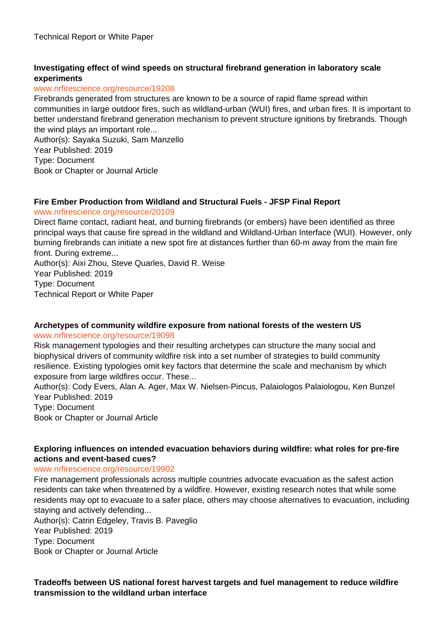# **Investigating effect of wind speeds on structural firebrand generation in laboratory scale experiments**

### www.nrfirescience.org/resource/19208

Firebrands generated from structures are known to be a source of rapid flame spread within communities in large outdoor fires, such as wildland-urban (WUI) fires, and urban fires. It is important to better understand firebrand generation mechanism to prevent structure ignitions by firebrands. Though the wind plays an important role...

Author(s): Sayaka Suzuki, Sam Manzello

Year Published: 2019 Type: Document

Book or Chapter or Journal Article

# **Fire Ember Production from Wildland and Structural Fuels - JFSP Final Report**

### www.nrfirescience.org/resource/20109

Direct flame contact, radiant heat, and burning firebrands (or embers) have been identified as three principal ways that cause fire spread in the wildland and Wildland-Urban Interface (WUI). However, only burning firebrands can initiate a new spot fire at distances further than 60-m away from the main fire front. During extreme...

Author(s): Aixi Zhou, Steve Quarles, David R. Weise Year Published: 2019 Type: Document Technical Report or White Paper

# **Archetypes of community wildfire exposure from national forests of the western US**

#### www.nrfirescience.org/resource/19098

Risk management typologies and their resulting archetypes can structure the many social and biophysical drivers of community wildfire risk into a set number of strategies to build community resilience. Existing typologies omit key factors that determine the scale and mechanism by which exposure from large wildfires occur. These...

Author(s): Cody Evers, Alan A. Ager, Max W. Nielsen-Pincus, Palaiologos Palaiologou, Ken Bunzel Year Published: 2019

Type: Document

Book or Chapter or Journal Article

### **Exploring influences on intended evacuation behaviors during wildfire: what roles for pre-fire actions and event-based cues?**

#### www.nrfirescience.org/resource/19902

Fire management professionals across multiple countries advocate evacuation as the safest action residents can take when threatened by a wildfire. However, existing research notes that while some residents may opt to evacuate to a safer place, others may choose alternatives to evacuation, including staying and actively defending...

Author(s): Catrin Edgeley, Travis B. Paveglio

Year Published: 2019

Type: Document

Book or Chapter or Journal Article

**Tradeoffs between US national forest harvest targets and fuel management to reduce wildfire transmission to the wildland urban interface**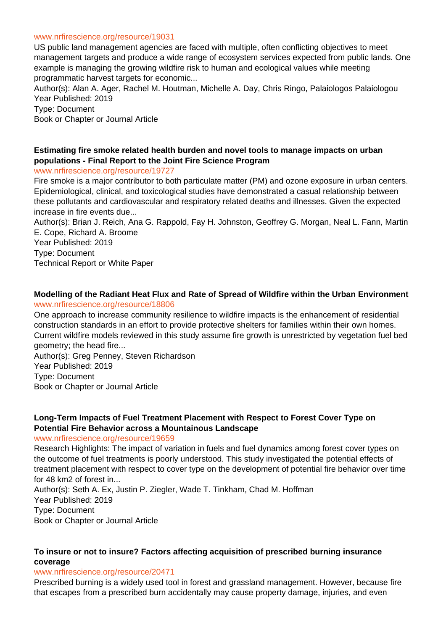#### www.nrfirescience.org/resource/19031

US public land management agencies are faced with multiple, often conflicting objectives to meet management targets and produce a wide range of ecosystem services expected from public lands. One example is managing the growing wildfire risk to human and ecological values while meeting programmatic harvest targets for economic...

Author(s): Alan A. Ager, Rachel M. Houtman, Michelle A. Day, Chris Ringo, Palaiologos Palaiologou Year Published: 2019

Type: Document Book or Chapter or Journal Article

# **Estimating fire smoke related health burden and novel tools to manage impacts on urban populations - Final Report to the Joint Fire Science Program**

#### www.nrfirescience.org/resource/19727

Fire smoke is a major contributor to both particulate matter (PM) and ozone exposure in urban centers. Epidemiological, clinical, and toxicological studies have demonstrated a casual relationship between these pollutants and cardiovascular and respiratory related deaths and illnesses. Given the expected increase in fire events due...

Author(s): Brian J. Reich, Ana G. Rappold, Fay H. Johnston, Geoffrey G. Morgan, Neal L. Fann, Martin E. Cope, Richard A. Broome

Year Published: 2019 Type: Document Technical Report or White Paper

#### **Modelling of the Radiant Heat Flux and Rate of Spread of Wildfire within the Urban Environment** www.nrfirescience.org/resource/18806

One approach to increase community resilience to wildfire impacts is the enhancement of residential construction standards in an effort to provide protective shelters for families within their own homes. Current wildfire models reviewed in this study assume fire growth is unrestricted by vegetation fuel bed geometry; the head fire...

Author(s): Greg Penney, Steven Richardson Year Published: 2019 Type: Document Book or Chapter or Journal Article

#### **Long-Term Impacts of Fuel Treatment Placement with Respect to Forest Cover Type on Potential Fire Behavior across a Mountainous Landscape**

#### www.nrfirescience.org/resource/19659

Research Highlights: The impact of variation in fuels and fuel dynamics among forest cover types on the outcome of fuel treatments is poorly understood. This study investigated the potential effects of treatment placement with respect to cover type on the development of potential fire behavior over time for 48 km2 of forest in...

Author(s): Seth A. Ex, Justin P. Ziegler, Wade T. Tinkham, Chad M. Hoffman Year Published: 2019 Type: Document Book or Chapter or Journal Article

### **To insure or not to insure? Factors affecting acquisition of prescribed burning insurance coverage**

#### www.nrfirescience.org/resource/20471

Prescribed burning is a widely used tool in forest and grassland management. However, because fire that escapes from a prescribed burn accidentally may cause property damage, injuries, and even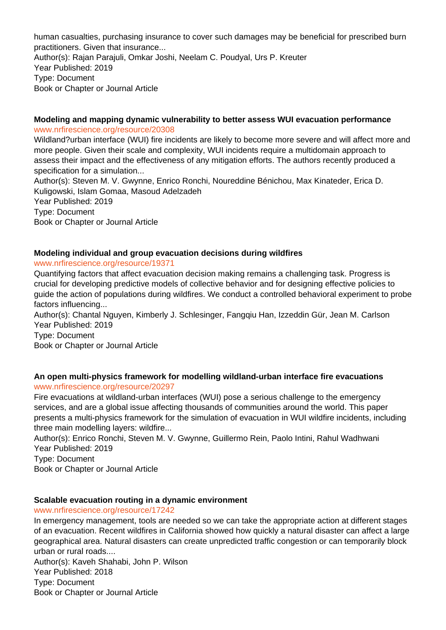human casualties, purchasing insurance to cover such damages may be beneficial for prescribed burn practitioners. Given that insurance... Author(s): Rajan Parajuli, Omkar Joshi, Neelam C. Poudyal, Urs P. Kreuter Year Published: 2019 Type: Document Book or Chapter or Journal Article

#### **Modeling and mapping dynamic vulnerability to better assess WUI evacuation performance** www.nrfirescience.org/resource/20308

Wildland?urban interface (WUI) fire incidents are likely to become more severe and will affect more and more people. Given their scale and complexity, WUI incidents require a multidomain approach to assess their impact and the effectiveness of any mitigation efforts. The authors recently produced a specification for a simulation...

Author(s): Steven M. V. Gwynne, Enrico Ronchi, Noureddine Bénichou, Max Kinateder, Erica D. Kuligowski, Islam Gomaa, Masoud Adelzadeh

Year Published: 2019 Type: Document Book or Chapter or Journal Article

### **Modeling individual and group evacuation decisions during wildfires**

### www.nrfirescience.org/resource/19371

Quantifying factors that affect evacuation decision making remains a challenging task. Progress is crucial for developing predictive models of collective behavior and for designing effective policies to guide the action of populations during wildfires. We conduct a controlled behavioral experiment to probe factors influencing...

Author(s): Chantal Nguyen, Kimberly J. Schlesinger, Fangqiu Han, Izzeddin Gür, Jean M. Carlson Year Published: 2019

Type: Document Book or Chapter or Journal Article

# **An open multi-physics framework for modelling wildland-urban interface fire evacuations**

#### www.nrfirescience.org/resource/20297

Fire evacuations at wildland-urban interfaces (WUI) pose a serious challenge to the emergency services, and are a global issue affecting thousands of communities around the world. This paper presents a multi-physics framework for the simulation of evacuation in WUI wildfire incidents, including three main modelling layers: wildfire...

Author(s): Enrico Ronchi, Steven M. V. Gwynne, Guillermo Rein, Paolo Intini, Rahul Wadhwani Year Published: 2019 Type: Document

Book or Chapter or Journal Article

# **Scalable evacuation routing in a dynamic environment**

# www.nrfirescience.org/resource/17242

In emergency management, tools are needed so we can take the appropriate action at different stages of an evacuation. Recent wildfires in California showed how quickly a natural disaster can affect a large geographical area. Natural disasters can create unpredicted traffic congestion or can temporarily block urban or rural roads....

Author(s): Kaveh Shahabi, John P. Wilson Year Published: 2018 Type: Document Book or Chapter or Journal Article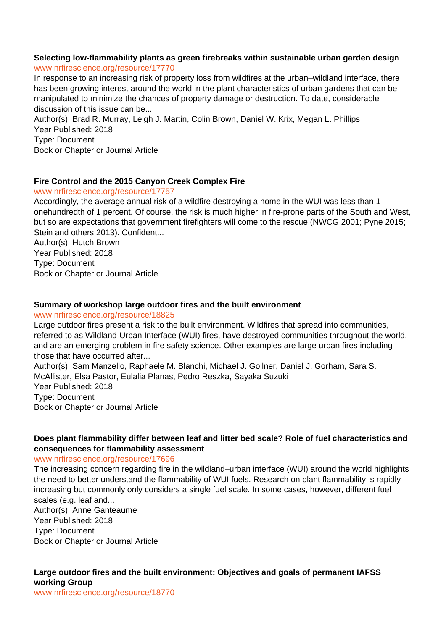#### **Selecting low-flammability plants as green firebreaks within sustainable urban garden design** www.nrfirescience.org/resource/17770

In response to an increasing risk of property loss from wildfires at the urban–wildland interface, there has been growing interest around the world in the plant characteristics of urban gardens that can be manipulated to minimize the chances of property damage or destruction. To date, considerable discussion of this issue can be...

Author(s): Brad R. Murray, Leigh J. Martin, Colin Brown, Daniel W. Krix, Megan L. Phillips Year Published: 2018 Type: Document Book or Chapter or Journal Article

# **Fire Control and the 2015 Canyon Creek Complex Fire**

# www.nrfirescience.org/resource/17757

Accordingly, the average annual risk of a wildfire destroying a home in the WUI was less than 1 onehundredth of 1 percent. Of course, the risk is much higher in fire-prone parts of the South and West, but so are expectations that government firefighters will come to the rescue (NWCG 2001; Pyne 2015; Stein and others 2013). Confident...

Author(s): Hutch Brown Year Published: 2018 Type: Document Book or Chapter or Journal Article

# **Summary of workshop large outdoor fires and the built environment**

#### www.nrfirescience.org/resource/18825

Large outdoor fires present a risk to the built environment. Wildfires that spread into communities, referred to as Wildland-Urban Interface (WUI) fires, have destroyed communities throughout the world, and are an emerging problem in fire safety science. Other examples are large urban fires including those that have occurred after...

Author(s): Sam Manzello, Raphaele M. Blanchi, Michael J. Gollner, Daniel J. Gorham, Sara S. McAllister, Elsa Pastor, Eulalia Planas, Pedro Reszka, Sayaka Suzuki Year Published: 2018 Type: Document Book or Chapter or Journal Article

# **Does plant flammability differ between leaf and litter bed scale? Role of fuel characteristics and consequences for flammability assessment**

#### www.nrfirescience.org/resource/17696

The increasing concern regarding fire in the wildland–urban interface (WUI) around the world highlights the need to better understand the flammability of WUI fuels. Research on plant flammability is rapidly increasing but commonly only considers a single fuel scale. In some cases, however, different fuel scales (e.g. leaf and... Author(s): Anne Ganteaume

Year Published: 2018 Type: Document Book or Chapter or Journal Article

# **Large outdoor fires and the built environment: Objectives and goals of permanent IAFSS working Group**

www.nrfirescience.org/resource/18770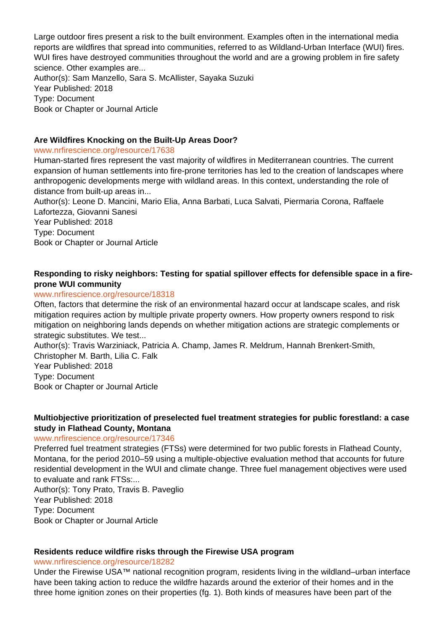Large outdoor fires present a risk to the built environment. Examples often in the international media reports are wildfires that spread into communities, referred to as Wildland-Urban Interface (WUI) fires. WUI fires have destroyed communities throughout the world and are a growing problem in fire safety science. Other examples are... Author(s): Sam Manzello, Sara S. McAllister, Sayaka Suzuki Year Published: 2018 Type: Document Book or Chapter or Journal Article

# **Are Wildfires Knocking on the Built-Up Areas Door?**

#### www.nrfirescience.org/resource/17638

Human-started fires represent the vast majority of wildfires in Mediterranean countries. The current expansion of human settlements into fire-prone territories has led to the creation of landscapes where anthropogenic developments merge with wildland areas. In this context, understanding the role of distance from built-up areas in...

Author(s): Leone D. Mancini, Mario Elia, Anna Barbati, Luca Salvati, Piermaria Corona, Raffaele Lafortezza, Giovanni Sanesi

Year Published: 2018 Type: Document Book or Chapter or Journal Article

# **Responding to risky neighbors: Testing for spatial spillover effects for defensible space in a fireprone WUI community**

#### www.nrfirescience.org/resource/18318

Often, factors that determine the risk of an environmental hazard occur at landscape scales, and risk mitigation requires action by multiple private property owners. How property owners respond to risk mitigation on neighboring lands depends on whether mitigation actions are strategic complements or strategic substitutes. We test...

Author(s): Travis Warziniack, Patricia A. Champ, James R. Meldrum, Hannah Brenkert-Smith, Christopher M. Barth, Lilia C. Falk Year Published: 2018 Type: Document Book or Chapter or Journal Article

### **Multiobjective prioritization of preselected fuel treatment strategies for public forestland: a case study in Flathead County, Montana**

#### www.nrfirescience.org/resource/17346

Preferred fuel treatment strategies (FTSs) were determined for two public forests in Flathead County, Montana, for the period 2010–59 using a multiple-objective evaluation method that accounts for future residential development in the WUI and climate change. Three fuel management objectives were used to evaluate and rank FTSs:...

Author(s): Tony Prato, Travis B. Paveglio Year Published: 2018 Type: Document Book or Chapter or Journal Article

#### **Residents reduce wildfire risks through the Firewise USA program**

www.nrfirescience.org/resource/18282

Under the Firewise USA™ national recognition program, residents living in the wildland–urban interface have been taking action to reduce the wildfre hazards around the exterior of their homes and in the three home ignition zones on their properties (fg. 1). Both kinds of measures have been part of the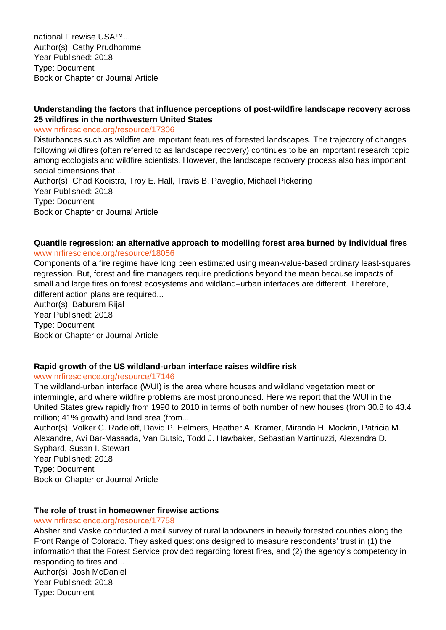national Firewise USA™... Author(s): Cathy Prudhomme Year Published: 2018 Type: Document Book or Chapter or Journal Article

# **Understanding the factors that influence perceptions of post-wildfire landscape recovery across 25 wildfires in the northwestern United States**

www.nrfirescience.org/resource/17306

Disturbances such as wildfire are important features of forested landscapes. The trajectory of changes following wildfires (often referred to as landscape recovery) continues to be an important research topic among ecologists and wildfire scientists. However, the landscape recovery process also has important social dimensions that...

Author(s): Chad Kooistra, Troy E. Hall, Travis B. Paveglio, Michael Pickering Year Published: 2018 Type: Document Book or Chapter or Journal Article

#### **Quantile regression: an alternative approach to modelling forest area burned by individual fires** www.nrfirescience.org/resource/18056

Components of a fire regime have long been estimated using mean-value-based ordinary least-squares regression. But, forest and fire managers require predictions beyond the mean because impacts of small and large fires on forest ecosystems and wildland–urban interfaces are different. Therefore, different action plans are required...

Author(s): Baburam Rijal Year Published: 2018 Type: Document Book or Chapter or Journal Article

# **Rapid growth of the US wildland-urban interface raises wildfire risk**

www.nrfirescience.org/resource/17146

The wildland-urban interface (WUI) is the area where houses and wildland vegetation meet or intermingle, and where wildfire problems are most pronounced. Here we report that the WUI in the United States grew rapidly from 1990 to 2010 in terms of both number of new houses (from 30.8 to 43.4 million; 41% growth) and land area (from...

Author(s): Volker C. Radeloff, David P. Helmers, Heather A. Kramer, Miranda H. Mockrin, Patricia M. Alexandre, Avi Bar-Massada, Van Butsic, Todd J. Hawbaker, Sebastian Martinuzzi, Alexandra D. Syphard, Susan I. Stewart Year Published: 2018 Type: Document Book or Chapter or Journal Article

#### **The role of trust in homeowner firewise actions**

#### www.nrfirescience.org/resource/17758

Absher and Vaske conducted a mail survey of rural landowners in heavily forested counties along the Front Range of Colorado. They asked questions designed to measure respondents' trust in (1) the information that the Forest Service provided regarding forest fires, and (2) the agency's competency in responding to fires and... Author(s): Josh McDaniel Year Published: 2018 Type: Document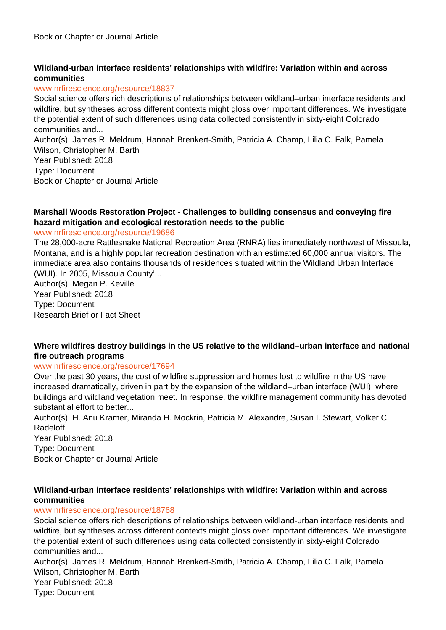# **Wildland-urban interface residents' relationships with wildfire: Variation within and across communities**

#### www.nrfirescience.org/resource/18837

Social science offers rich descriptions of relationships between wildland–urban interface residents and wildfire, but syntheses across different contexts might gloss over important differences. We investigate the potential extent of such differences using data collected consistently in sixty-eight Colorado communities and... Author(s): James R. Meldrum, Hannah Brenkert-Smith, Patricia A. Champ, Lilia C. Falk, Pamela Wilson, Christopher M. Barth Year Published: 2018

Type: Document

Book or Chapter or Journal Article

# **Marshall Woods Restoration Project - Challenges to building consensus and conveying fire hazard mitigation and ecological restoration needs to the public**

#### www.nrfirescience.org/resource/19686

The 28,000-acre Rattlesnake National Recreation Area (RNRA) lies immediately northwest of Missoula, Montana, and is a highly popular recreation destination with an estimated 60,000 annual visitors. The immediate area also contains thousands of residences situated within the Wildland Urban Interface (WUI). In 2005, Missoula County'...

Author(s): Megan P. Keville Year Published: 2018 Type: Document Research Brief or Fact Sheet

### **Where wildfires destroy buildings in the US relative to the wildland–urban interface and national fire outreach programs**

#### www.nrfirescience.org/resource/17694

Over the past 30 years, the cost of wildfire suppression and homes lost to wildfire in the US have increased dramatically, driven in part by the expansion of the wildland–urban interface (WUI), where buildings and wildland vegetation meet. In response, the wildfire management community has devoted substantial effort to better...

Author(s): H. Anu Kramer, Miranda H. Mockrin, Patricia M. Alexandre, Susan I. Stewart, Volker C. Radeloff

Year Published: 2018 Type: Document Book or Chapter or Journal Article

### **Wildland-urban interface residents' relationships with wildfire: Variation within and across communities**

#### www.nrfirescience.org/resource/18768

Social science offers rich descriptions of relationships between wildland-urban interface residents and wildfire, but syntheses across different contexts might gloss over important differences. We investigate the potential extent of such differences using data collected consistently in sixty-eight Colorado communities and...

Author(s): James R. Meldrum, Hannah Brenkert-Smith, Patricia A. Champ, Lilia C. Falk, Pamela Wilson, Christopher M. Barth Year Published: 2018 Type: Document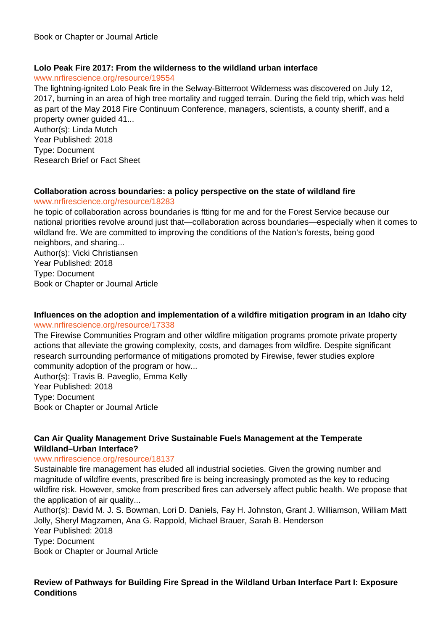### **Lolo Peak Fire 2017: From the wilderness to the wildland urban interface**

#### www.nrfirescience.org/resource/19554

The lightning-ignited Lolo Peak fire in the Selway-Bitterroot Wilderness was discovered on July 12, 2017, burning in an area of high tree mortality and rugged terrain. During the field trip, which was held as part of the May 2018 Fire Continuum Conference, managers, scientists, a county sheriff, and a property owner guided 41...

Author(s): Linda Mutch Year Published: 2018 Type: Document Research Brief or Fact Sheet

### **Collaboration across boundaries: a policy perspective on the state of wildland fire**

#### www.nrfirescience.org/resource/18283

he topic of collaboration across boundaries is ftting for me and for the Forest Service because our national priorities revolve around just that—collaboration across boundaries—especially when it comes to wildland fre. We are committed to improving the conditions of the Nation's forests, being good neighbors, and sharing...

Author(s): Vicki Christiansen Year Published: 2018 Type: Document Book or Chapter or Journal Article

### **Influences on the adoption and implementation of a wildfire mitigation program in an Idaho city** www.nrfirescience.org/resource/17338

The Firewise Communities Program and other wildfire mitigation programs promote private property actions that alleviate the growing complexity, costs, and damages from wildfire. Despite significant research surrounding performance of mitigations promoted by Firewise, fewer studies explore community adoption of the program or how...

Author(s): Travis B. Paveglio, Emma Kelly Year Published: 2018 Type: Document Book or Chapter or Journal Article

# **Can Air Quality Management Drive Sustainable Fuels Management at the Temperate Wildland–Urban Interface?**

#### www.nrfirescience.org/resource/18137

Sustainable fire management has eluded all industrial societies. Given the growing number and magnitude of wildfire events, prescribed fire is being increasingly promoted as the key to reducing wildfire risk. However, smoke from prescribed fires can adversely affect public health. We propose that the application of air quality...

Author(s): David M. J. S. Bowman, Lori D. Daniels, Fay H. Johnston, Grant J. Williamson, William Matt Jolly, Sheryl Magzamen, Ana G. Rappold, Michael Brauer, Sarah B. Henderson Year Published: 2018 Type: Document

Book or Chapter or Journal Article

# **Review of Pathways for Building Fire Spread in the Wildland Urban Interface Part I: Exposure Conditions**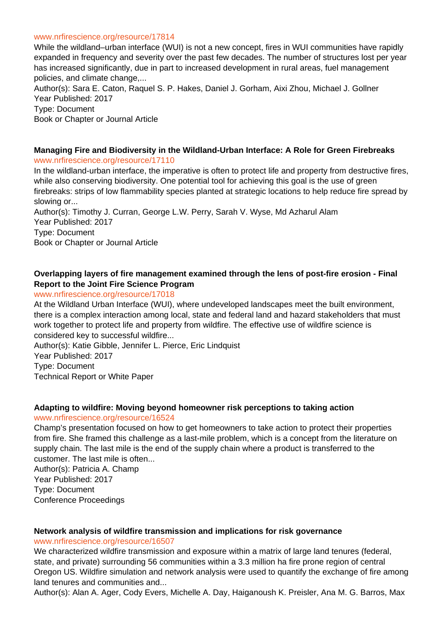#### www.nrfirescience.org/resource/17814

While the wildland–urban interface (WUI) is not a new concept, fires in WUI communities have rapidly expanded in frequency and severity over the past few decades. The number of structures lost per year has increased significantly, due in part to increased development in rural areas, fuel management policies, and climate change,...

Author(s): Sara E. Caton, Raquel S. P. Hakes, Daniel J. Gorham, Aixi Zhou, Michael J. Gollner Year Published: 2017 Type: Document Book or Chapter or Journal Article

#### **Managing Fire and Biodiversity in the Wildland-Urban Interface: A Role for Green Firebreaks** www.nrfirescience.org/resource/17110

In the wildland-urban interface, the imperative is often to protect life and property from destructive fires, while also conserving biodiversity. One potential tool for achieving this goal is the use of green firebreaks: strips of low flammability species planted at strategic locations to help reduce fire spread by slowing or...

Author(s): Timothy J. Curran, George L.W. Perry, Sarah V. Wyse, Md Azharul Alam Year Published: 2017 Type: Document Book or Chapter or Journal Article

# **Overlapping layers of fire management examined through the lens of post-fire erosion - Final Report to the Joint Fire Science Program**

#### www.nrfirescience.org/resource/17018

At the Wildland Urban Interface (WUI), where undeveloped landscapes meet the built environment, there is a complex interaction among local, state and federal land and hazard stakeholders that must work together to protect life and property from wildfire. The effective use of wildfire science is considered key to successful wildfire...

Author(s): Katie Gibble, Jennifer L. Pierce, Eric Lindquist Year Published: 2017 Type: Document Technical Report or White Paper

#### **Adapting to wildfire: Moving beyond homeowner risk perceptions to taking action**

#### www.nrfirescience.org/resource/16524

Champ's presentation focused on how to get homeowners to take action to protect their properties from fire. She framed this challenge as a last-mile problem, which is a concept from the literature on supply chain. The last mile is the end of the supply chain where a product is transferred to the customer. The last mile is often... Author(s): Patricia A. Champ

Year Published: 2017 Type: Document Conference Proceedings

#### **Network analysis of wildfire transmission and implications for risk governance**

#### www.nrfirescience.org/resource/16507

We characterized wildfire transmission and exposure within a matrix of large land tenures (federal, state, and private) surrounding 56 communities within a 3.3 million ha fire prone region of central Oregon US. Wildfire simulation and network analysis were used to quantify the exchange of fire among land tenures and communities and...

Author(s): Alan A. Ager, Cody Evers, Michelle A. Day, Haiganoush K. Preisler, Ana M. G. Barros, Max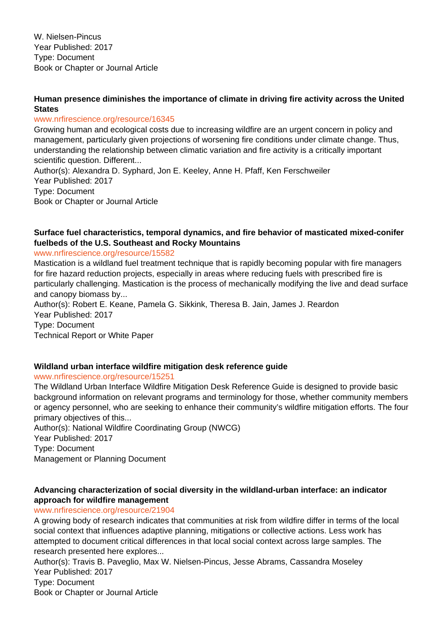W. Nielsen-Pincus Year Published: 2017 Type: Document Book or Chapter or Journal Article

### **Human presence diminishes the importance of climate in driving fire activity across the United States**

#### www.nrfirescience.org/resource/16345

Growing human and ecological costs due to increasing wildfire are an urgent concern in policy and management, particularly given projections of worsening fire conditions under climate change. Thus, understanding the relationship between climatic variation and fire activity is a critically important scientific question. Different...

Author(s): Alexandra D. Syphard, Jon E. Keeley, Anne H. Pfaff, Ken Ferschweiler Year Published: 2017 Type: Document Book or Chapter or Journal Article

# **Surface fuel characteristics, temporal dynamics, and fire behavior of masticated mixed-conifer fuelbeds of the U.S. Southeast and Rocky Mountains**

#### www.nrfirescience.org/resource/15582

Mastication is a wildland fuel treatment technique that is rapidly becoming popular with fire managers for fire hazard reduction projects, especially in areas where reducing fuels with prescribed fire is particularly challenging. Mastication is the process of mechanically modifying the live and dead surface and canopy biomass by...

Author(s): Robert E. Keane, Pamela G. Sikkink, Theresa B. Jain, James J. Reardon Year Published: 2017 Type: Document Technical Report or White Paper

# **Wildland urban interface wildfire mitigation desk reference guide**

www.nrfirescience.org/resource/15251

The Wildland Urban Interface Wildfire Mitigation Desk Reference Guide is designed to provide basic background information on relevant programs and terminology for those, whether community members or agency personnel, who are seeking to enhance their community's wildfire mitigation efforts. The four primary objectives of this...

Author(s): National Wildfire Coordinating Group (NWCG) Year Published: 2017 Type: Document Management or Planning Document

### **Advancing characterization of social diversity in the wildland-urban interface: an indicator approach for wildfire management**

#### www.nrfirescience.org/resource/21904

A growing body of research indicates that communities at risk from wildfire differ in terms of the local social context that influences adaptive planning, mitigations or collective actions. Less work has attempted to document critical differences in that local social context across large samples. The research presented here explores...

Author(s): Travis B. Paveglio, Max W. Nielsen-Pincus, Jesse Abrams, Cassandra Moseley Year Published: 2017 Type: Document Book or Chapter or Journal Article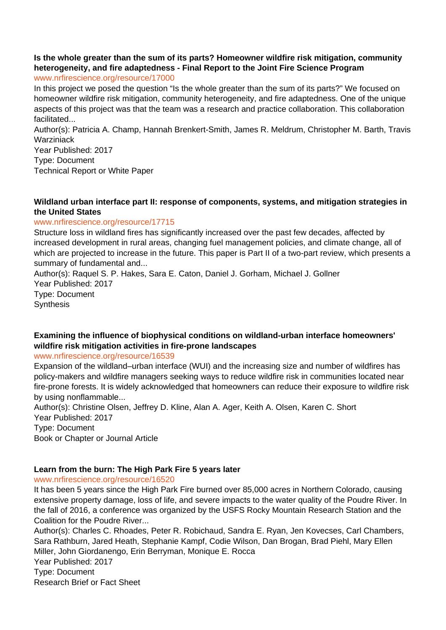#### **Is the whole greater than the sum of its parts? Homeowner wildfire risk mitigation, community heterogeneity, and fire adaptedness - Final Report to the Joint Fire Science Program** www.nrfirescience.org/resource/17000

In this project we posed the question "Is the whole greater than the sum of its parts?" We focused on homeowner wildfire risk mitigation, community heterogeneity, and fire adaptedness. One of the unique aspects of this project was that the team was a research and practice collaboration. This collaboration facilitated...

Author(s): Patricia A. Champ, Hannah Brenkert-Smith, James R. Meldrum, Christopher M. Barth, Travis **Warziniack** 

Year Published: 2017 Type: Document Technical Report or White Paper

#### **Wildland urban interface part II: response of components, systems, and mitigation strategies in the United States**

#### www.nrfirescience.org/resource/17715

Structure loss in wildland fires has significantly increased over the past few decades, affected by increased development in rural areas, changing fuel management policies, and climate change, all of which are projected to increase in the future. This paper is Part II of a two-part review, which presents a summary of fundamental and...

Author(s): Raquel S. P. Hakes, Sara E. Caton, Daniel J. Gorham, Michael J. Gollner Year Published: 2017 Type: Document **Synthesis** 

# **Examining the influence of biophysical conditions on wildland-urban interface homeowners' wildfire risk mitigation activities in fire-prone landscapes**

#### www.nrfirescience.org/resource/16539

Expansion of the wildland–urban interface (WUI) and the increasing size and number of wildfires has policy-makers and wildfire managers seeking ways to reduce wildfire risk in communities located near fire-prone forests. It is widely acknowledged that homeowners can reduce their exposure to wildfire risk by using nonflammable...

Author(s): Christine Olsen, Jeffrey D. Kline, Alan A. Ager, Keith A. Olsen, Karen C. Short Year Published: 2017 Type: Document Book or Chapter or Journal Article

# **Learn from the burn: The High Park Fire 5 years later**

www.nrfirescience.org/resource/16520

It has been 5 years since the High Park Fire burned over 85,000 acres in Northern Colorado, causing extensive property damage, loss of life, and severe impacts to the water quality of the Poudre River. In the fall of 2016, a conference was organized by the USFS Rocky Mountain Research Station and the Coalition for the Poudre River...

Author(s): Charles C. Rhoades, Peter R. Robichaud, Sandra E. Ryan, Jen Kovecses, Carl Chambers, Sara Rathburn, Jared Heath, Stephanie Kampf, Codie Wilson, Dan Brogan, Brad Piehl, Mary Ellen Miller, John Giordanengo, Erin Berryman, Monique E. Rocca Year Published: 2017 Type: Document Research Brief or Fact Sheet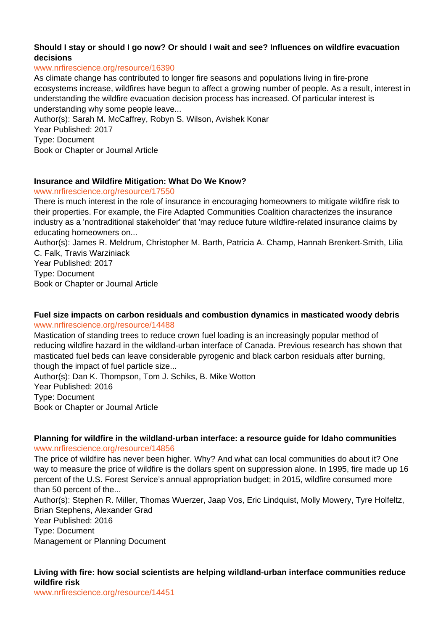# **Should I stay or should I go now? Or should I wait and see? Influences on wildfire evacuation decisions**

#### www.nrfirescience.org/resource/16390

As climate change has contributed to longer fire seasons and populations living in fire-prone ecosystems increase, wildfires have begun to affect a growing number of people. As a result, interest in understanding the wildfire evacuation decision process has increased. Of particular interest is understanding why some people leave...

Author(s): Sarah M. McCaffrey, Robyn S. Wilson, Avishek Konar Year Published: 2017 Type: Document Book or Chapter or Journal Article

### **Insurance and Wildfire Mitigation: What Do We Know?**

#### www.nrfirescience.org/resource/17550

There is much interest in the role of insurance in encouraging homeowners to mitigate wildfire risk to their properties. For example, the Fire Adapted Communities Coalition characterizes the insurance industry as a 'nontraditional stakeholder' that 'may reduce future wildfire-related insurance claims by educating homeowners on...

Author(s): James R. Meldrum, Christopher M. Barth, Patricia A. Champ, Hannah Brenkert-Smith, Lilia C. Falk, Travis Warziniack

Year Published: 2017 Type: Document Book or Chapter or Journal Article

#### **Fuel size impacts on carbon residuals and combustion dynamics in masticated woody debris** www.nrfirescience.org/resource/14488

Mastication of standing trees to reduce crown fuel loading is an increasingly popular method of reducing wildfire hazard in the wildland-urban interface of Canada. Previous research has shown that masticated fuel beds can leave considerable pyrogenic and black carbon residuals after burning, though the impact of fuel particle size...

Author(s): Dan K. Thompson, Tom J. Schiks, B. Mike Wotton Year Published: 2016 Type: Document Book or Chapter or Journal Article

**Planning for wildfire in the wildland-urban interface: a resource guide for Idaho communities** www.nrfirescience.org/resource/14856

The price of wildfire has never been higher. Why? And what can local communities do about it? One way to measure the price of wildfire is the dollars spent on suppression alone. In 1995, fire made up 16 percent of the U.S. Forest Service's annual appropriation budget; in 2015, wildfire consumed more than 50 percent of the...

Author(s): Stephen R. Miller, Thomas Wuerzer, Jaap Vos, Eric Lindquist, Molly Mowery, Tyre Holfeltz, Brian Stephens, Alexander Grad

Year Published: 2016 Type: Document

Management or Planning Document

# **Living with fire: how social scientists are helping wildland-urban interface communities reduce wildfire risk**

www.nrfirescience.org/resource/14451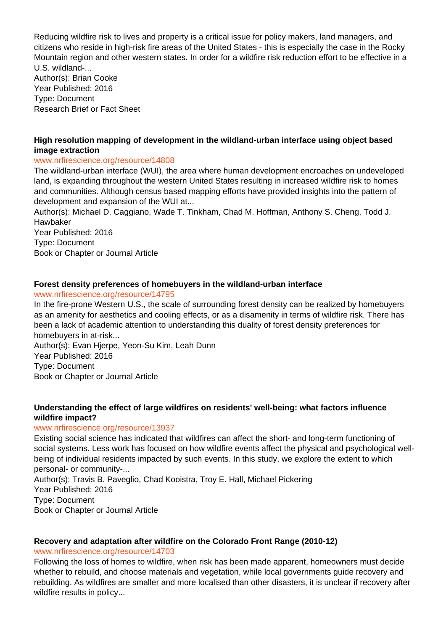Reducing wildfire risk to lives and property is a critical issue for policy makers, land managers, and citizens who reside in high-risk fire areas of the United States - this is especially the case in the Rocky Mountain region and other western states. In order for a wildfire risk reduction effort to be effective in a U.S. wildland-... Author(s): Brian Cooke Year Published: 2016 Type: Document

Research Brief or Fact Sheet

# **High resolution mapping of development in the wildland-urban interface using object based image extraction**

# www.nrfirescience.org/resource/14808

The wildland-urban interface (WUI), the area where human development encroaches on undeveloped land, is expanding throughout the western United States resulting in increased wildfire risk to homes and communities. Although census based mapping efforts have provided insights into the pattern of development and expansion of the WUI at...

Author(s): Michael D. Caggiano, Wade T. Tinkham, Chad M. Hoffman, Anthony S. Cheng, Todd J. Hawbaker

Year Published: 2016 Type: Document Book or Chapter or Journal Article

# **Forest density preferences of homebuyers in the wildland-urban interface**

### www.nrfirescience.org/resource/14795

In the fire-prone Western U.S., the scale of surrounding forest density can be realized by homebuyers as an amenity for aesthetics and cooling effects, or as a disamenity in terms of wildfire risk. There has been a lack of academic attention to understanding this duality of forest density preferences for homebuyers in at-risk...

Author(s): Evan Hjerpe, Yeon-Su Kim, Leah Dunn Year Published: 2016 Type: Document Book or Chapter or Journal Article

### **Understanding the effect of large wildfires on residents' well-being: what factors influence wildfire impact?**

#### www.nrfirescience.org/resource/13937

Existing social science has indicated that wildfires can affect the short- and long-term functioning of social systems. Less work has focused on how wildfire events affect the physical and psychological wellbeing of individual residents impacted by such events. In this study, we explore the extent to which personal- or community-... Author(s): Travis B. Paveglio, Chad Kooistra, Troy E. Hall, Michael Pickering

Year Published: 2016 Type: Document

Book or Chapter or Journal Article

#### **Recovery and adaptation after wildfire on the Colorado Front Range (2010-12)** www.nrfirescience.org/resource/14703

Following the loss of homes to wildfire, when risk has been made apparent, homeowners must decide whether to rebuild, and choose materials and vegetation, while local governments guide recovery and rebuilding. As wildfires are smaller and more localised than other disasters, it is unclear if recovery after wildfire results in policy...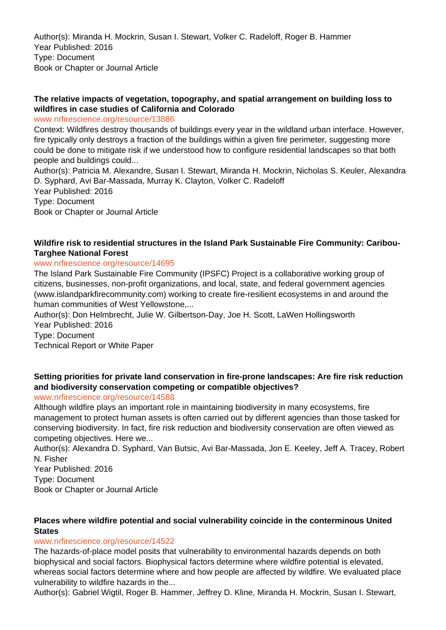Author(s): Miranda H. Mockrin, Susan I. Stewart, Volker C. Radeloff, Roger B. Hammer Year Published: 2016 Type: Document Book or Chapter or Journal Article

# **The relative impacts of vegetation, topography, and spatial arrangement on building loss to wildfires in case studies of California and Colorado**

www.nrfirescience.org/resource/13886

Context: Wildfires destroy thousands of buildings every year in the wildland urban interface. However, fire typically only destroys a fraction of the buildings within a given fire perimeter, suggesting more could be done to mitigate risk if we understood how to configure residential landscapes so that both people and buildings could...

Author(s): Patricia M. Alexandre, Susan I. Stewart, Miranda H. Mockrin, Nicholas S. Keuler, Alexandra D. Syphard, Avi Bar-Massada, Murray K. Clayton, Volker C. Radeloff Year Published: 2016 Type: Document Book or Chapter or Journal Article

# **Wildfire risk to residential structures in the Island Park Sustainable Fire Community: Caribou-Targhee National Forest**

### www.nrfirescience.org/resource/14695

The Island Park Sustainable Fire Community (IPSFC) Project is a collaborative working group of citizens, businesses, non-profit organizations, and local, state, and federal government agencies (www.islandparkfirecommunity.com) working to create fire-resilient ecosystems in and around the human communities of West Yellowstone,...

Author(s): Don Helmbrecht, Julie W. Gilbertson-Day, Joe H. Scott, LaWen Hollingsworth Year Published: 2016

Type: Document Technical Report or White Paper

# **Setting priorities for private land conservation in fire-prone landscapes: Are fire risk reduction and biodiversity conservation competing or compatible objectives?**

#### www.nrfirescience.org/resource/14588

Although wildfire plays an important role in maintaining biodiversity in many ecosystems, fire management to protect human assets is often carried out by different agencies than those tasked for conserving biodiversity. In fact, fire risk reduction and biodiversity conservation are often viewed as competing objectives. Here we...

Author(s): Alexandra D. Syphard, Van Butsic, Avi Bar-Massada, Jon E. Keeley, Jeff A. Tracey, Robert N. Fisher

Year Published: 2016 Type: Document Book or Chapter or Journal Article

# **Places where wildfire potential and social vulnerability coincide in the conterminous United States**

#### www.nrfirescience.org/resource/14522

The hazards-of-place model posits that vulnerability to environmental hazards depends on both biophysical and social factors. Biophysical factors determine where wildfire potential is elevated, whereas social factors determine where and how people are affected by wildfire. We evaluated place vulnerability to wildfire hazards in the...

Author(s): Gabriel Wigtil, Roger B. Hammer, Jeffrey D. Kline, Miranda H. Mockrin, Susan I. Stewart,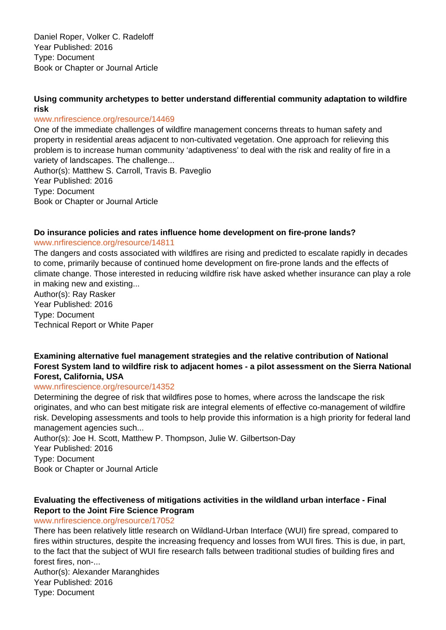Daniel Roper, Volker C. Radeloff Year Published: 2016 Type: Document Book or Chapter or Journal Article

# **Using community archetypes to better understand differential community adaptation to wildfire risk**

#### www.nrfirescience.org/resource/14469

One of the immediate challenges of wildfire management concerns threats to human safety and property in residential areas adjacent to non-cultivated vegetation. One approach for relieving this problem is to increase human community 'adaptiveness' to deal with the risk and reality of fire in a variety of landscapes. The challenge...

Author(s): Matthew S. Carroll, Travis B. Paveglio Year Published: 2016 Type: Document Book or Chapter or Journal Article

### **Do insurance policies and rates influence home development on fire-prone lands?**

#### www.nrfirescience.org/resource/14811

The dangers and costs associated with wildfires are rising and predicted to escalate rapidly in decades to come, primarily because of continued home development on fire-prone lands and the effects of climate change. Those interested in reducing wildfire risk have asked whether insurance can play a role in making new and existing...

Author(s): Ray Rasker Year Published: 2016 Type: Document Technical Report or White Paper

# **Examining alternative fuel management strategies and the relative contribution of National Forest System land to wildfire risk to adjacent homes - a pilot assessment on the Sierra National Forest, California, USA**

#### www.nrfirescience.org/resource/14352

Determining the degree of risk that wildfires pose to homes, where across the landscape the risk originates, and who can best mitigate risk are integral elements of effective co-management of wildfire risk. Developing assessments and tools to help provide this information is a high priority for federal land management agencies such...

Author(s): Joe H. Scott, Matthew P. Thompson, Julie W. Gilbertson-Day Year Published: 2016 Type: Document Book or Chapter or Journal Article

# **Evaluating the effectiveness of mitigations activities in the wildland urban interface - Final Report to the Joint Fire Science Program**

#### www.nrfirescience.org/resource/17052

There has been relatively little research on Wildland-Urban Interface (WUI) fire spread, compared to fires within structures, despite the increasing frequency and losses from WUI fires. This is due, in part, to the fact that the subject of WUI fire research falls between traditional studies of building fires and forest fires, non-...

Author(s): Alexander Maranghides Year Published: 2016 Type: Document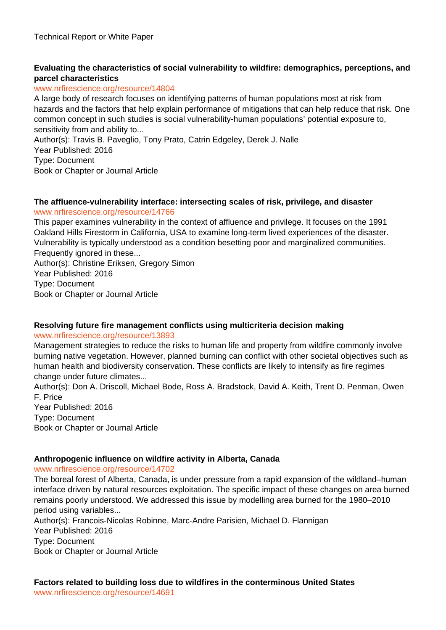# **Evaluating the characteristics of social vulnerability to wildfire: demographics, perceptions, and parcel characteristics**

#### www.nrfirescience.org/resource/14804

A large body of research focuses on identifying patterns of human populations most at risk from hazards and the factors that help explain performance of mitigations that can help reduce that risk. One common concept in such studies is social vulnerability-human populations' potential exposure to, sensitivity from and ability to...

Author(s): Travis B. Paveglio, Tony Prato, Catrin Edgeley, Derek J. Nalle Year Published: 2016

Type: Document Book or Chapter or Journal Article

#### **The affluence-vulnerability interface: intersecting scales of risk, privilege, and disaster** www.nrfirescience.org/resource/14766

This paper examines vulnerability in the context of affluence and privilege. It focuses on the 1991 Oakland Hills Firestorm in California, USA to examine long-term lived experiences of the disaster. Vulnerability is typically understood as a condition besetting poor and marginalized communities. Frequently ignored in these... Author(s): Christine Eriksen, Gregory Simon

Year Published: 2016 Type: Document Book or Chapter or Journal Article

# **Resolving future fire management conflicts using multicriteria decision making**

#### www.nrfirescience.org/resource/13893

Management strategies to reduce the risks to human life and property from wildfire commonly involve burning native vegetation. However, planned burning can conflict with other societal objectives such as human health and biodiversity conservation. These conflicts are likely to intensify as fire regimes change under future climates...

Author(s): Don A. Driscoll, Michael Bode, Ross A. Bradstock, David A. Keith, Trent D. Penman, Owen F. Price Year Published: 2016

Type: Document Book or Chapter or Journal Article

# **Anthropogenic influence on wildfire activity in Alberta, Canada**

www.nrfirescience.org/resource/14702

The boreal forest of Alberta, Canada, is under pressure from a rapid expansion of the wildland–human interface driven by natural resources exploitation. The specific impact of these changes on area burned remains poorly understood. We addressed this issue by modelling area burned for the 1980–2010 period using variables...

Author(s): Francois-Nicolas Robinne, Marc-Andre Parisien, Michael D. Flannigan Year Published: 2016 Type: Document Book or Chapter or Journal Article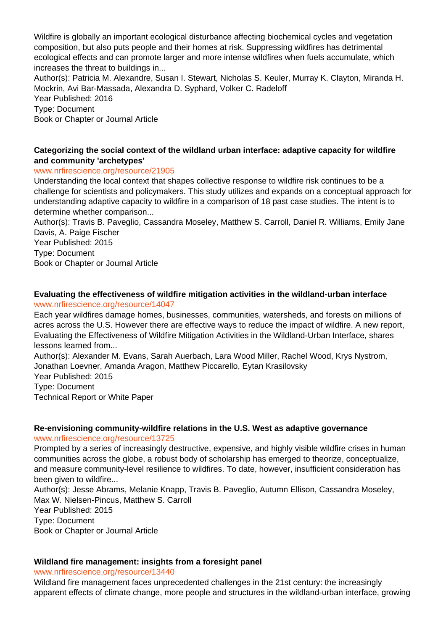Wildfire is globally an important ecological disturbance affecting biochemical cycles and vegetation composition, but also puts people and their homes at risk. Suppressing wildfires has detrimental ecological effects and can promote larger and more intense wildfires when fuels accumulate, which increases the threat to buildings in...

Author(s): Patricia M. Alexandre, Susan I. Stewart, Nicholas S. Keuler, Murray K. Clayton, Miranda H. Mockrin, Avi Bar-Massada, Alexandra D. Syphard, Volker C. Radeloff

Year Published: 2016 Type: Document Book or Chapter or Journal Article

# **Categorizing the social context of the wildland urban interface: adaptive capacity for wildfire and community 'archetypes'**

# www.nrfirescience.org/resource/21905

Understanding the local context that shapes collective response to wildfire risk continues to be a challenge for scientists and policymakers. This study utilizes and expands on a conceptual approach for understanding adaptive capacity to wildfire in a comparison of 18 past case studies. The intent is to determine whether comparison...

Author(s): Travis B. Paveglio, Cassandra Moseley, Matthew S. Carroll, Daniel R. Williams, Emily Jane Davis, A. Paige Fischer

Year Published: 2015 Type: Document Book or Chapter or Journal Article

#### **Evaluating the effectiveness of wildfire mitigation activities in the wildland-urban interface** www.nrfirescience.org/resource/14047

Each year wildfires damage homes, businesses, communities, watersheds, and forests on millions of acres across the U.S. However there are effective ways to reduce the impact of wildfire. A new report, Evaluating the Effectiveness of Wildfire Mitigation Activities in the Wildland-Urban Interface, shares lessons learned from...

Author(s): Alexander M. Evans, Sarah Auerbach, Lara Wood Miller, Rachel Wood, Krys Nystrom, Jonathan Loevner, Amanda Aragon, Matthew Piccarello, Eytan Krasilovsky

Year Published: 2015 Type: Document

Technical Report or White Paper

# **Re-envisioning community-wildfire relations in the U.S. West as adaptive governance**

#### www.nrfirescience.org/resource/13725

Prompted by a series of increasingly destructive, expensive, and highly visible wildfire crises in human communities across the globe, a robust body of scholarship has emerged to theorize, conceptualize, and measure community-level resilience to wildfires. To date, however, insufficient consideration has been given to wildfire...

Author(s): Jesse Abrams, Melanie Knapp, Travis B. Paveglio, Autumn Ellison, Cassandra Moseley, Max W. Nielsen-Pincus, Matthew S. Carroll

Year Published: 2015

Type: Document

Book or Chapter or Journal Article

# **Wildland fire management: insights from a foresight panel**

www.nrfirescience.org/resource/13440

Wildland fire management faces unprecedented challenges in the 21st century: the increasingly apparent effects of climate change, more people and structures in the wildland-urban interface, growing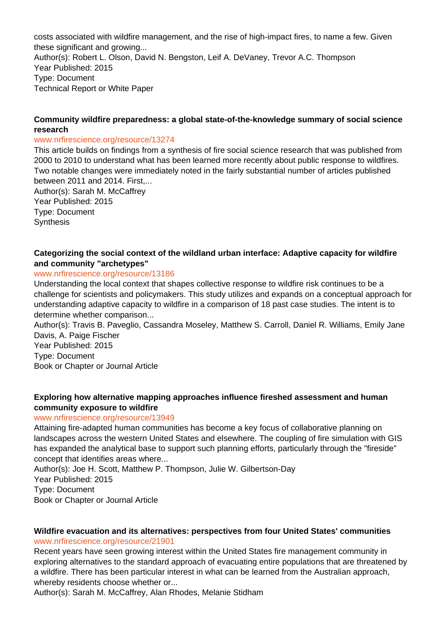costs associated with wildfire management, and the rise of high-impact fires, to name a few. Given these significant and growing... Author(s): Robert L. Olson, David N. Bengston, Leif A. DeVaney, Trevor A.C. Thompson Year Published: 2015 Type: Document Technical Report or White Paper

#### **Community wildfire preparedness: a global state-of-the-knowledge summary of social science research**

#### www.nrfirescience.org/resource/13274

This article builds on findings from a synthesis of fire social science research that was published from 2000 to 2010 to understand what has been learned more recently about public response to wildfires. Two notable changes were immediately noted in the fairly substantial number of articles published between 2011 and 2014. First,...

Author(s): Sarah M. McCaffrey Year Published: 2015 Type: Document **Synthesis** 

#### **Categorizing the social context of the wildland urban interface: Adaptive capacity for wildfire and community "archetypes"**

#### www.nrfirescience.org/resource/13186

Understanding the local context that shapes collective response to wildfire risk continues to be a challenge for scientists and policymakers. This study utilizes and expands on a conceptual approach for understanding adaptive capacity to wildfire in a comparison of 18 past case studies. The intent is to determine whether comparison...

Author(s): Travis B. Paveglio, Cassandra Moseley, Matthew S. Carroll, Daniel R. Williams, Emily Jane Davis, A. Paige Fischer

Year Published: 2015 Type: Document Book or Chapter or Journal Article

#### **Exploring how alternative mapping approaches influence fireshed assessment and human community exposure to wildfire**

#### www.nrfirescience.org/resource/13949

Attaining fire-adapted human communities has become a key focus of collaborative planning on landscapes across the western United States and elsewhere. The coupling of fire simulation with GIS has expanded the analytical base to support such planning efforts, particularly through the "fireside" concept that identifies areas where...

Author(s): Joe H. Scott, Matthew P. Thompson, Julie W. Gilbertson-Day Year Published: 2015 Type: Document Book or Chapter or Journal Article

#### **Wildfire evacuation and its alternatives: perspectives from four United States' communities** www.nrfirescience.org/resource/21901

Recent years have seen growing interest within the United States fire management community in exploring alternatives to the standard approach of evacuating entire populations that are threatened by a wildfire. There has been particular interest in what can be learned from the Australian approach, whereby residents choose whether or...

Author(s): Sarah M. McCaffrey, Alan Rhodes, Melanie Stidham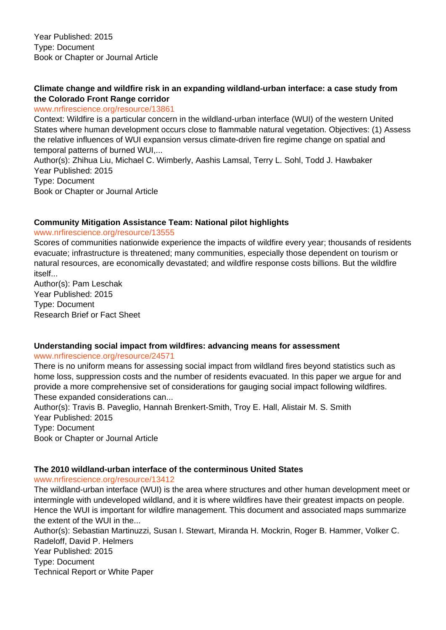# **Climate change and wildfire risk in an expanding wildland-urban interface: a case study from the Colorado Front Range corridor**

#### www.nrfirescience.org/resource/13861

Context: Wildfire is a particular concern in the wildland-urban interface (WUI) of the western United States where human development occurs close to flammable natural vegetation. Objectives: (1) Assess the relative influences of WUI expansion versus climate-driven fire regime change on spatial and temporal patterns of burned WUI,...

Author(s): Zhihua Liu, Michael C. Wimberly, Aashis Lamsal, Terry L. Sohl, Todd J. Hawbaker Year Published: 2015 Type: Document Book or Chapter or Journal Article

### **Community Mitigation Assistance Team: National pilot highlights**

www.nrfirescience.org/resource/13555

Scores of communities nationwide experience the impacts of wildfire every year; thousands of residents evacuate; infrastructure is threatened; many communities, especially those dependent on tourism or natural resources, are economically devastated; and wildfire response costs billions. But the wildfire itself...

Author(s): Pam Leschak Year Published: 2015 Type: Document Research Brief or Fact Sheet

# **Understanding social impact from wildfires: advancing means for assessment**

#### www.nrfirescience.org/resource/24571

There is no uniform means for assessing social impact from wildland fires beyond statistics such as home loss, suppression costs and the number of residents evacuated. In this paper we argue for and provide a more comprehensive set of considerations for gauging social impact following wildfires. These expanded considerations can...

Author(s): Travis B. Paveglio, Hannah Brenkert-Smith, Troy E. Hall, Alistair M. S. Smith Year Published: 2015 Type: Document Book or Chapter or Journal Article

# **The 2010 wildland-urban interface of the conterminous United States**

www.nrfirescience.org/resource/13412

The wildland-urban interface (WUI) is the area where structures and other human development meet or intermingle with undeveloped wildland, and it is where wildfires have their greatest impacts on people. Hence the WUI is important for wildfire management. This document and associated maps summarize the extent of the WUI in the...

Author(s): Sebastian Martinuzzi, Susan I. Stewart, Miranda H. Mockrin, Roger B. Hammer, Volker C. Radeloff, David P. Helmers Year Published: 2015 Type: Document Technical Report or White Paper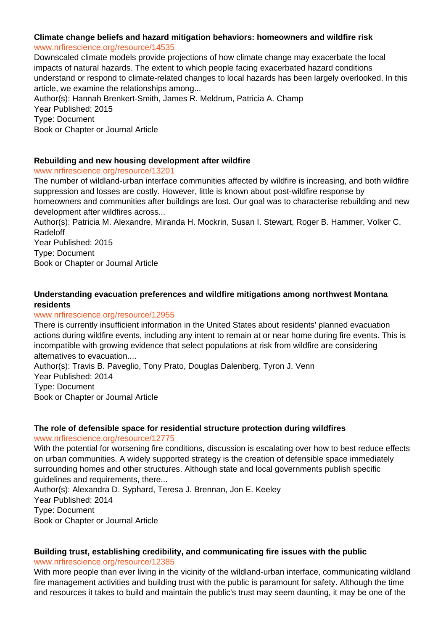# **Climate change beliefs and hazard mitigation behaviors: homeowners and wildfire risk**

#### www.nrfirescience.org/resource/14535

Downscaled climate models provide projections of how climate change may exacerbate the local impacts of natural hazards. The extent to which people facing exacerbated hazard conditions understand or respond to climate-related changes to local hazards has been largely overlooked. In this article, we examine the relationships among...

Author(s): Hannah Brenkert-Smith, James R. Meldrum, Patricia A. Champ Year Published: 2015 Type: Document

Book or Chapter or Journal Article

# **Rebuilding and new housing development after wildfire**

### www.nrfirescience.org/resource/13201

The number of wildland-urban interface communities affected by wildfire is increasing, and both wildfire suppression and losses are costly. However, little is known about post-wildfire response by homeowners and communities after buildings are lost. Our goal was to characterise rebuilding and new development after wildfires across...

Author(s): Patricia M. Alexandre, Miranda H. Mockrin, Susan I. Stewart, Roger B. Hammer, Volker C. Radeloff

Year Published: 2015 Type: Document Book or Chapter or Journal Article

# **Understanding evacuation preferences and wildfire mitigations among northwest Montana residents**

#### www.nrfirescience.org/resource/12955

There is currently insufficient information in the United States about residents' planned evacuation actions during wildfire events, including any intent to remain at or near home during fire events. This is incompatible with growing evidence that select populations at risk from wildfire are considering alternatives to evacuation....

Author(s): Travis B. Paveglio, Tony Prato, Douglas Dalenberg, Tyron J. Venn Year Published: 2014 Type: Document Book or Chapter or Journal Article

#### **The role of defensible space for residential structure protection during wildfires**

#### www.nrfirescience.org/resource/12775

With the potential for worsening fire conditions, discussion is escalating over how to best reduce effects on urban communities. A widely supported strategy is the creation of defensible space immediately surrounding homes and other structures. Although state and local governments publish specific guidelines and requirements, there...

Author(s): Alexandra D. Syphard, Teresa J. Brennan, Jon E. Keeley Year Published: 2014 Type: Document Book or Chapter or Journal Article

# **Building trust, establishing credibility, and communicating fire issues with the public**

www.nrfirescience.org/resource/12385

With more people than ever living in the vicinity of the wildland-urban interface, communicating wildland fire management activities and building trust with the public is paramount for safety. Although the time and resources it takes to build and maintain the public's trust may seem daunting, it may be one of the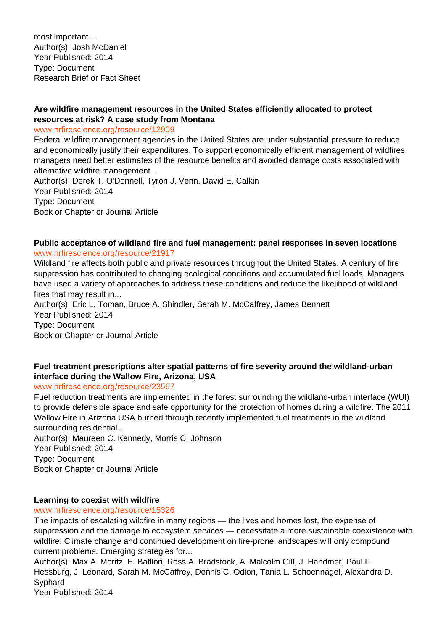most important... Author(s): Josh McDaniel Year Published: 2014 Type: Document Research Brief or Fact Sheet

# **Are wildfire management resources in the United States efficiently allocated to protect resources at risk? A case study from Montana**

www.nrfirescience.org/resource/12909

Federal wildfire management agencies in the United States are under substantial pressure to reduce and economically justify their expenditures. To support economically efficient management of wildfires, managers need better estimates of the resource benefits and avoided damage costs associated with alternative wildfire management...

Author(s): Derek T. O'Donnell, Tyron J. Venn, David E. Calkin Year Published: 2014 Type: Document Book or Chapter or Journal Article

#### **Public acceptance of wildland fire and fuel management: panel responses in seven locations** www.nrfirescience.org/resource/21917

Wildland fire affects both public and private resources throughout the United States. A century of fire suppression has contributed to changing ecological conditions and accumulated fuel loads. Managers have used a variety of approaches to address these conditions and reduce the likelihood of wildland fires that may result in...

Author(s): Eric L. Toman, Bruce A. Shindler, Sarah M. McCaffrey, James Bennett Year Published: 2014 Type: Document Book or Chapter or Journal Article

# **Fuel treatment prescriptions alter spatial patterns of fire severity around the wildland-urban interface during the Wallow Fire, Arizona, USA**

www.nrfirescience.org/resource/23567

Fuel reduction treatments are implemented in the forest surrounding the wildland-urban interface (WUI) to provide defensible space and safe opportunity for the protection of homes during a wildfire. The 2011 Wallow Fire in Arizona USA burned through recently implemented fuel treatments in the wildland surrounding residential...

Author(s): Maureen C. Kennedy, Morris C. Johnson Year Published: 2014 Type: Document Book or Chapter or Journal Article

# **Learning to coexist with wildfire**

#### www.nrfirescience.org/resource/15326

The impacts of escalating wildfire in many regions — the lives and homes lost, the expense of suppression and the damage to ecosystem services — necessitate a more sustainable coexistence with wildfire. Climate change and continued development on fire-prone landscapes will only compound current problems. Emerging strategies for...

Author(s): Max A. Moritz, E. Batllori, Ross A. Bradstock, A. Malcolm Gill, J. Handmer, Paul F. Hessburg, J. Leonard, Sarah M. McCaffrey, Dennis C. Odion, Tania L. Schoennagel, Alexandra D. Syphard

Year Published: 2014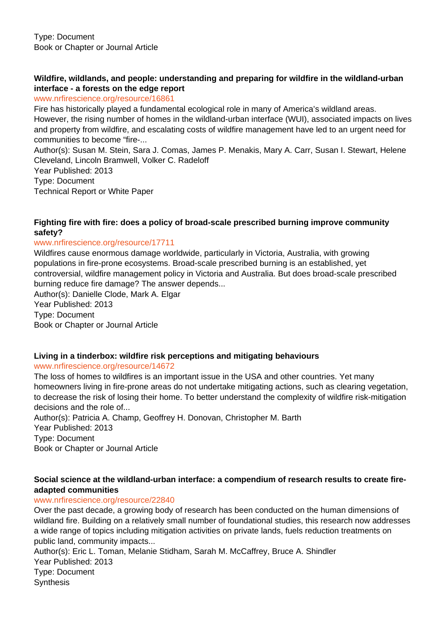# **Wildfire, wildlands, and people: understanding and preparing for wildfire in the wildland-urban interface - a forests on the edge report**

www.nrfirescience.org/resource/16861

Fire has historically played a fundamental ecological role in many of America's wildland areas. However, the rising number of homes in the wildland-urban interface (WUI), associated impacts on lives and property from wildfire, and escalating costs of wildfire management have led to an urgent need for communities to become "fire-...

Author(s): Susan M. Stein, Sara J. Comas, James P. Menakis, Mary A. Carr, Susan I. Stewart, Helene Cleveland, Lincoln Bramwell, Volker C. Radeloff

Year Published: 2013

Type: Document

Technical Report or White Paper

# **Fighting fire with fire: does a policy of broad-scale prescribed burning improve community safety?**

### www.nrfirescience.org/resource/17711

Wildfires cause enormous damage worldwide, particularly in Victoria, Australia, with growing populations in fire-prone ecosystems. Broad-scale prescribed burning is an established, yet controversial, wildfire management policy in Victoria and Australia. But does broad-scale prescribed burning reduce fire damage? The answer depends...

Author(s): Danielle Clode, Mark A. Elgar Year Published: 2013 Type: Document

Book or Chapter or Journal Article

# **Living in a tinderbox: wildfire risk perceptions and mitigating behaviours**

#### www.nrfirescience.org/resource/14672

The loss of homes to wildfires is an important issue in the USA and other countries. Yet many homeowners living in fire-prone areas do not undertake mitigating actions, such as clearing vegetation, to decrease the risk of losing their home. To better understand the complexity of wildfire risk-mitigation decisions and the role of...

Author(s): Patricia A. Champ, Geoffrey H. Donovan, Christopher M. Barth Year Published: 2013 Type: Document Book or Chapter or Journal Article

# **Social science at the wildland-urban interface: a compendium of research results to create fireadapted communities**

# www.nrfirescience.org/resource/22840

Over the past decade, a growing body of research has been conducted on the human dimensions of wildland fire. Building on a relatively small number of foundational studies, this research now addresses a wide range of topics including mitigation activities on private lands, fuels reduction treatments on public land, community impacts...

Author(s): Eric L. Toman, Melanie Stidham, Sarah M. McCaffrey, Bruce A. Shindler Year Published: 2013 Type: Document

**Synthesis**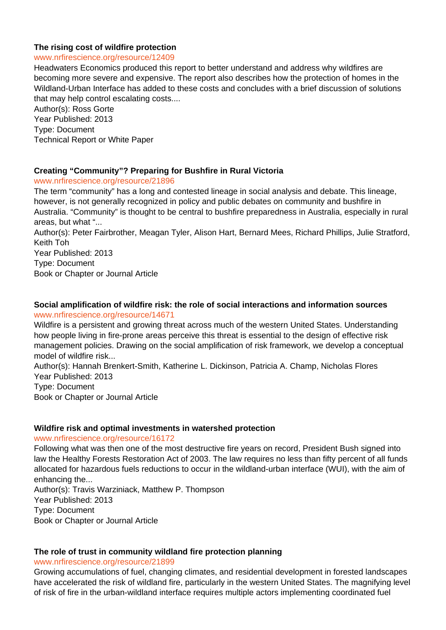#### **The rising cost of wildfire protection**

#### www.nrfirescience.org/resource/12409

Headwaters Economics produced this report to better understand and address why wildfires are becoming more severe and expensive. The report also describes how the protection of homes in the Wildland-Urban Interface has added to these costs and concludes with a brief discussion of solutions that may help control escalating costs....

Author(s): Ross Gorte Year Published: 2013 Type: Document Technical Report or White Paper

#### **Creating "Community"? Preparing for Bushfire in Rural Victoria**

www.nrfirescience.org/resource/21896

The term "community" has a long and contested lineage in social analysis and debate. This lineage, however, is not generally recognized in policy and public debates on community and bushfire in Australia. "Community" is thought to be central to bushfire preparedness in Australia, especially in rural areas, but what "...

Author(s): Peter Fairbrother, Meagan Tyler, Alison Hart, Bernard Mees, Richard Phillips, Julie Stratford, Keith Toh

Year Published: 2013 Type: Document Book or Chapter or Journal Article

# **Social amplification of wildfire risk: the role of social interactions and information sources** www.nrfirescience.org/resource/14671

Wildfire is a persistent and growing threat across much of the western United States. Understanding how people living in fire-prone areas perceive this threat is essential to the design of effective risk management policies. Drawing on the social amplification of risk framework, we develop a conceptual model of wildfire risk...

Author(s): Hannah Brenkert-Smith, Katherine L. Dickinson, Patricia A. Champ, Nicholas Flores Year Published: 2013

Type: Document Book or Chapter or Journal Article

#### **Wildfire risk and optimal investments in watershed protection**

#### www.nrfirescience.org/resource/16172

Following what was then one of the most destructive fire years on record, President Bush signed into law the Healthy Forests Restoration Act of 2003. The law requires no less than fifty percent of all funds allocated for hazardous fuels reductions to occur in the wildland-urban interface (WUI), with the aim of enhancing the...

Author(s): Travis Warziniack, Matthew P. Thompson Year Published: 2013 Type: Document Book or Chapter or Journal Article

#### **The role of trust in community wildland fire protection planning**

www.nrfirescience.org/resource/21899

Growing accumulations of fuel, changing climates, and residential development in forested landscapes have accelerated the risk of wildland fire, particularly in the western United States. The magnifying level of risk of fire in the urban-wildland interface requires multiple actors implementing coordinated fuel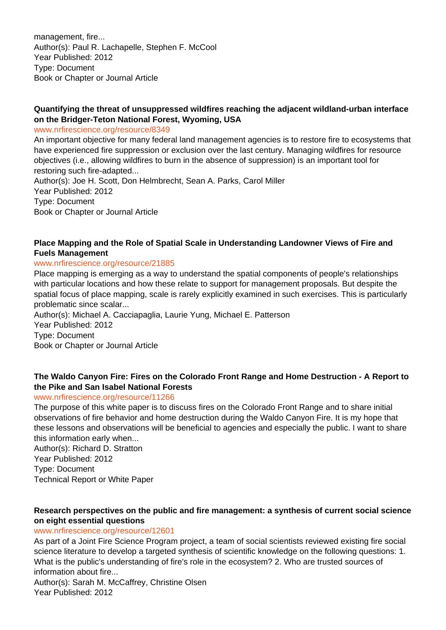management, fire... Author(s): Paul R. Lachapelle, Stephen F. McCool Year Published: 2012 Type: Document Book or Chapter or Journal Article

# **Quantifying the threat of unsuppressed wildfires reaching the adjacent wildland-urban interface on the Bridger-Teton National Forest, Wyoming, USA**

www.nrfirescience.org/resource/8349

An important objective for many federal land management agencies is to restore fire to ecosystems that have experienced fire suppression or exclusion over the last century. Managing wildfires for resource objectives (i.e., allowing wildfires to burn in the absence of suppression) is an important tool for restoring such fire-adapted...

Author(s): Joe H. Scott, Don Helmbrecht, Sean A. Parks, Carol Miller Year Published: 2012 Type: Document Book or Chapter or Journal Article

# **Place Mapping and the Role of Spatial Scale in Understanding Landowner Views of Fire and Fuels Management**

#### www.nrfirescience.org/resource/21885

Place mapping is emerging as a way to understand the spatial components of people's relationships with particular locations and how these relate to support for management proposals. But despite the spatial focus of place mapping, scale is rarely explicitly examined in such exercises. This is particularly problematic since scalar...

Author(s): Michael A. Cacciapaglia, Laurie Yung, Michael E. Patterson Year Published: 2012 Type: Document Book or Chapter or Journal Article

# **The Waldo Canyon Fire: Fires on the Colorado Front Range and Home Destruction - A Report to the Pike and San Isabel National Forests**

#### www.nrfirescience.org/resource/11266

The purpose of this white paper is to discuss fires on the Colorado Front Range and to share initial observations of fire behavior and home destruction during the Waldo Canyon Fire. It is my hope that these lessons and observations will be beneficial to agencies and especially the public. I want to share this information early when...

Author(s): Richard D. Stratton Year Published: 2012 Type: Document Technical Report or White Paper

# **Research perspectives on the public and fire management: a synthesis of current social science on eight essential questions**

#### www.nrfirescience.org/resource/12601

As part of a Joint Fire Science Program project, a team of social scientists reviewed existing fire social science literature to develop a targeted synthesis of scientific knowledge on the following questions: 1. What is the public's understanding of fire's role in the ecosystem? 2. Who are trusted sources of information about fire...

Author(s): Sarah M. McCaffrey, Christine Olsen Year Published: 2012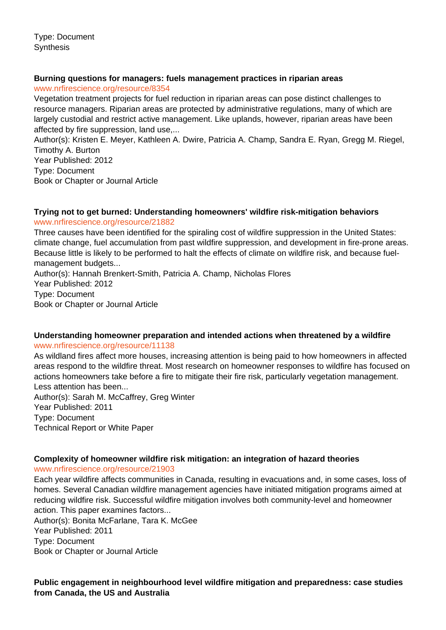Type: Document **Synthesis** 

#### **Burning questions for managers: fuels management practices in riparian areas**

www.nrfirescience.org/resource/8354

Vegetation treatment projects for fuel reduction in riparian areas can pose distinct challenges to resource managers. Riparian areas are protected by administrative regulations, many of which are largely custodial and restrict active management. Like uplands, however, riparian areas have been affected by fire suppression, land use,...

Author(s): Kristen E. Meyer, Kathleen A. Dwire, Patricia A. Champ, Sandra E. Ryan, Gregg M. Riegel, Timothy A. Burton Year Published: 2012

Type: Document

Book or Chapter or Journal Article

#### **Trying not to get burned: Understanding homeowners' wildfire risk-mitigation behaviors** www.nrfirescience.org/resource/21882

Three causes have been identified for the spiraling cost of wildfire suppression in the United States: climate change, fuel accumulation from past wildfire suppression, and development in fire-prone areas. Because little is likely to be performed to halt the effects of climate on wildfire risk, and because fuelmanagement budgets...

Author(s): Hannah Brenkert-Smith, Patricia A. Champ, Nicholas Flores Year Published: 2012 Type: Document Book or Chapter or Journal Article

### **Understanding homeowner preparation and intended actions when threatened by a wildfire** www.nrfirescience.org/resource/11138

As wildland fires affect more houses, increasing attention is being paid to how homeowners in affected areas respond to the wildfire threat. Most research on homeowner responses to wildfire has focused on actions homeowners take before a fire to mitigate their fire risk, particularly vegetation management. Less attention has been...

Author(s): Sarah M. McCaffrey, Greg Winter Year Published: 2011 Type: Document Technical Report or White Paper

# **Complexity of homeowner wildfire risk mitigation: an integration of hazard theories**

www.nrfirescience.org/resource/21903

Each year wildfire affects communities in Canada, resulting in evacuations and, in some cases, loss of homes. Several Canadian wildfire management agencies have initiated mitigation programs aimed at reducing wildfire risk. Successful wildfire mitigation involves both community-level and homeowner action. This paper examines factors...

Author(s): Bonita McFarlane, Tara K. McGee Year Published: 2011 Type: Document Book or Chapter or Journal Article

# **Public engagement in neighbourhood level wildfire mitigation and preparedness: case studies from Canada, the US and Australia**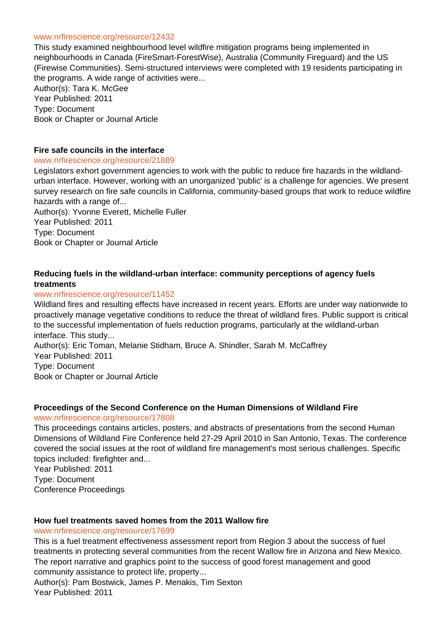#### www.nrfirescience.org/resource/12432

This study examined neighbourhood level wildfire mitigation programs being implemented in neighbourhoods in Canada (FireSmart-ForestWise), Australia (Community Fireguard) and the US (Firewise Communities). Semi-structured interviews were completed with 19 residents participating in the programs. A wide range of activities were... Author(s): Tara K. McGee

Year Published: 2011 Type: Document Book or Chapter or Journal Article

#### **Fire safe councils in the interface**

#### www.nrfirescience.org/resource/21889

Legislators exhort government agencies to work with the public to reduce fire hazards in the wildlandurban interface. However, working with an unorganized 'public' is a challenge for agencies. We present survey research on fire safe councils in California, community-based groups that work to reduce wildfire hazards with a range of...

Author(s): Yvonne Everett, Michelle Fuller Year Published: 2011 Type: Document Book or Chapter or Journal Article

# **Reducing fuels in the wildland-urban interface: community perceptions of agency fuels treatments**

#### www.nrfirescience.org/resource/11452

Wildland fires and resulting effects have increased in recent years. Efforts are under way nationwide to proactively manage vegetative conditions to reduce the threat of wildland fires. Public support is critical to the successful implementation of fuels reduction programs, particularly at the wildland-urban interface. This study...

Author(s): Eric Toman, Melanie Stidham, Bruce A. Shindler, Sarah M. McCaffrey Year Published: 2011 Type: Document Book or Chapter or Journal Article

#### **Proceedings of the Second Conference on the Human Dimensions of Wildland Fire**

www.nrfirescience.org/resource/17808

This proceedings contains articles, posters, and abstracts of presentations from the second Human Dimensions of Wildland Fire Conference held 27-29 April 2010 in San Antonio, Texas. The conference covered the social issues at the root of wildland fire management's most serious challenges. Specific topics included: firefighter and...

Year Published: 2011 Type: Document Conference Proceedings

#### **How fuel treatments saved homes from the 2011 Wallow fire**

#### www.nrfirescience.org/resource/17699

This is a fuel treatment effectiveness assessment report from Region 3 about the success of fuel treatments in protecting several communities from the recent Wallow fire in Arizona and New Mexico. The report narrative and graphics point to the success of good forest management and good community assistance to protect life, property...

Author(s): Pam Bostwick, James P. Menakis, Tim Sexton Year Published: 2011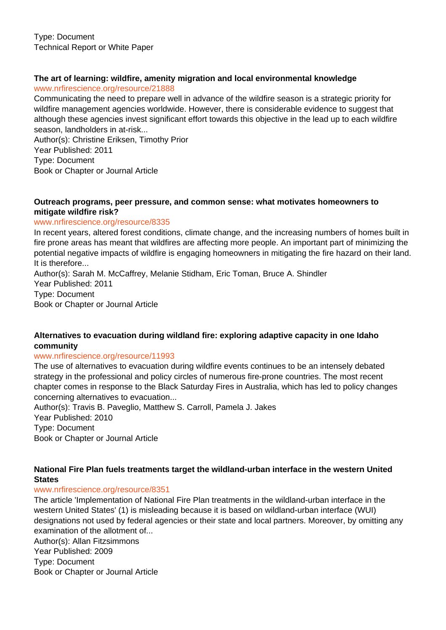# **The art of learning: wildfire, amenity migration and local environmental knowledge**

www.nrfirescience.org/resource/21888

Communicating the need to prepare well in advance of the wildfire season is a strategic priority for wildfire management agencies worldwide. However, there is considerable evidence to suggest that although these agencies invest significant effort towards this objective in the lead up to each wildfire season, landholders in at-risk...

Author(s): Christine Eriksen, Timothy Prior Year Published: 2011 Type: Document Book or Chapter or Journal Article

#### **Outreach programs, peer pressure, and common sense: what motivates homeowners to mitigate wildfire risk?**

#### www.nrfirescience.org/resource/8335

In recent years, altered forest conditions, climate change, and the increasing numbers of homes built in fire prone areas has meant that wildfires are affecting more people. An important part of minimizing the potential negative impacts of wildfire is engaging homeowners in mitigating the fire hazard on their land. It is therefore...

Author(s): Sarah M. McCaffrey, Melanie Stidham, Eric Toman, Bruce A. Shindler Year Published: 2011 Type: Document Book or Chapter or Journal Article

### **Alternatives to evacuation during wildland fire: exploring adaptive capacity in one Idaho community**

#### www.nrfirescience.org/resource/11993

The use of alternatives to evacuation during wildfire events continues to be an intensely debated strategy in the professional and policy circles of numerous fire-prone countries. The most recent chapter comes in response to the Black Saturday Fires in Australia, which has led to policy changes concerning alternatives to evacuation...

Author(s): Travis B. Paveglio, Matthew S. Carroll, Pamela J. Jakes Year Published: 2010 Type: Document Book or Chapter or Journal Article

### **National Fire Plan fuels treatments target the wildland-urban interface in the western United States**

#### www.nrfirescience.org/resource/8351

The article 'Implementation of National Fire Plan treatments in the wildland-urban interface in the western United States' (1) is misleading because it is based on wildland-urban interface (WUI) designations not used by federal agencies or their state and local partners. Moreover, by omitting any examination of the allotment of...

Author(s): Allan Fitzsimmons Year Published: 2009 Type: Document Book or Chapter or Journal Article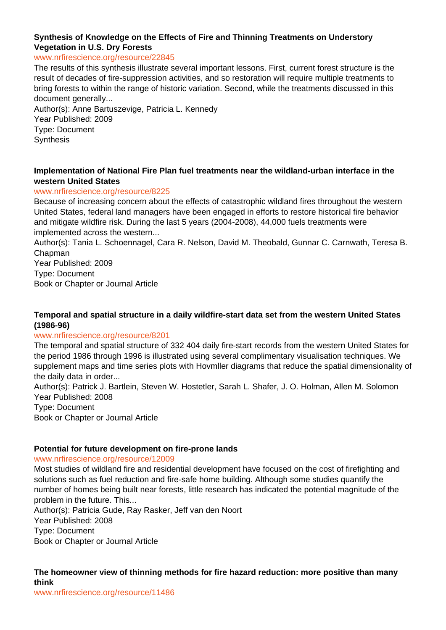# **Synthesis of Knowledge on the Effects of Fire and Thinning Treatments on Understory Vegetation in U.S. Dry Forests**

#### www.nrfirescience.org/resource/22845

The results of this synthesis illustrate several important lessons. First, current forest structure is the result of decades of fire-suppression activities, and so restoration will require multiple treatments to bring forests to within the range of historic variation. Second, while the treatments discussed in this document generally...

Author(s): Anne Bartuszevige, Patricia L. Kennedy Year Published: 2009 Type: Document **Synthesis** 

#### **Implementation of National Fire Plan fuel treatments near the wildland-urban interface in the western United States**

#### www.nrfirescience.org/resource/8225

Because of increasing concern about the effects of catastrophic wildland fires throughout the western United States, federal land managers have been engaged in efforts to restore historical fire behavior and mitigate wildfire risk. During the last 5 years (2004-2008), 44,000 fuels treatments were implemented across the western...

Author(s): Tania L. Schoennagel, Cara R. Nelson, David M. Theobald, Gunnar C. Carnwath, Teresa B. Chapman

Year Published: 2009 Type: Document Book or Chapter or Journal Article

### **Temporal and spatial structure in a daily wildfire-start data set from the western United States (1986-96)**

#### www.nrfirescience.org/resource/8201

The temporal and spatial structure of 332 404 daily fire-start records from the western United States for the period 1986 through 1996 is illustrated using several complimentary visualisation techniques. We supplement maps and time series plots with Hovmller diagrams that reduce the spatial dimensionality of the daily data in order...

Author(s): Patrick J. Bartlein, Steven W. Hostetler, Sarah L. Shafer, J. O. Holman, Allen M. Solomon Year Published: 2008

Type: Document

Book or Chapter or Journal Article

#### **Potential for future development on fire-prone lands**

#### www.nrfirescience.org/resource/12009

Most studies of wildland fire and residential development have focused on the cost of firefighting and solutions such as fuel reduction and fire-safe home building. Although some studies quantify the number of homes being built near forests, little research has indicated the potential magnitude of the problem in the future. This...

Author(s): Patricia Gude, Ray Rasker, Jeff van den Noort Year Published: 2008 Type: Document Book or Chapter or Journal Article

# **The homeowner view of thinning methods for fire hazard reduction: more positive than many think**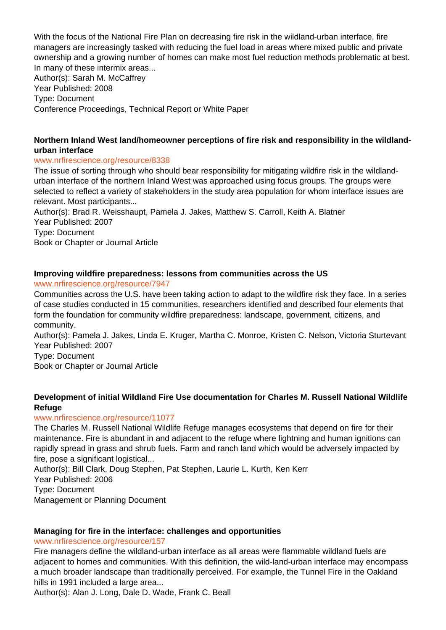With the focus of the National Fire Plan on decreasing fire risk in the wildland-urban interface, fire managers are increasingly tasked with reducing the fuel load in areas where mixed public and private ownership and a growing number of homes can make most fuel reduction methods problematic at best. In many of these intermix areas...

Author(s): Sarah M. McCaffrey Year Published: 2008 Type: Document Conference Proceedings, Technical Report or White Paper

# **Northern Inland West land/homeowner perceptions of fire risk and responsibility in the wildlandurban interface**

# www.nrfirescience.org/resource/8338

The issue of sorting through who should bear responsibility for mitigating wildfire risk in the wildlandurban interface of the northern Inland West was approached using focus groups. The groups were selected to reflect a variety of stakeholders in the study area population for whom interface issues are relevant. Most participants...

Author(s): Brad R. Weisshaupt, Pamela J. Jakes, Matthew S. Carroll, Keith A. Blatner Year Published: 2007 Type: Document Book or Chapter or Journal Article

# **Improving wildfire preparedness: lessons from communities across the US**

www.nrfirescience.org/resource/7947

Communities across the U.S. have been taking action to adapt to the wildfire risk they face. In a series of case studies conducted in 15 communities, researchers identified and described four elements that form the foundation for community wildfire preparedness: landscape, government, citizens, and community.

Author(s): Pamela J. Jakes, Linda E. Kruger, Martha C. Monroe, Kristen C. Nelson, Victoria Sturtevant Year Published: 2007

Type: Document

Book or Chapter or Journal Article

# **Development of initial Wildland Fire Use documentation for Charles M. Russell National Wildlife Refuge**

# www.nrfirescience.org/resource/11077

The Charles M. Russell National Wildlife Refuge manages ecosystems that depend on fire for their maintenance. Fire is abundant in and adjacent to the refuge where lightning and human ignitions can rapidly spread in grass and shrub fuels. Farm and ranch land which would be adversely impacted by fire, pose a significant logistical...

Author(s): Bill Clark, Doug Stephen, Pat Stephen, Laurie L. Kurth, Ken Kerr Year Published: 2006 Type: Document Management or Planning Document

# **Managing for fire in the interface: challenges and opportunities**

# www.nrfirescience.org/resource/157

Fire managers define the wildland-urban interface as all areas were flammable wildland fuels are adjacent to homes and communities. With this definition, the wild-land-urban interface may encompass a much broader landscape than traditionally perceived. For example, the Tunnel Fire in the Oakland hills in 1991 included a large area...

Author(s): Alan J. Long, Dale D. Wade, Frank C. Beall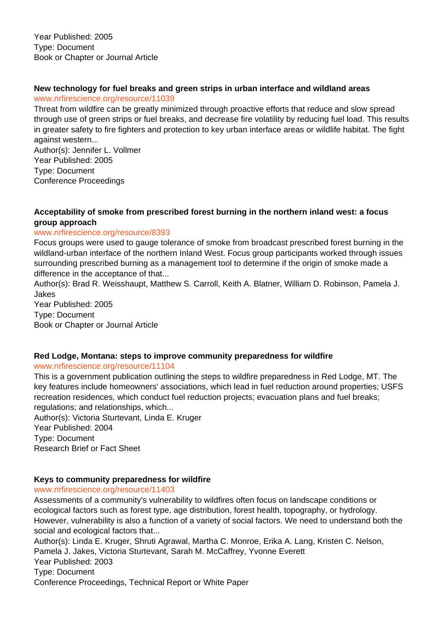# **New technology for fuel breaks and green strips in urban interface and wildland areas**

www.nrfirescience.org/resource/11039

Threat from wildfire can be greatly minimized through proactive efforts that reduce and slow spread through use of green strips or fuel breaks, and decrease fire volatility by reducing fuel load. This results in greater safety to fire fighters and protection to key urban interface areas or wildlife habitat. The fight against western...

Author(s): Jennifer L. Vollmer Year Published: 2005 Type: Document Conference Proceedings

# **Acceptability of smoke from prescribed forest burning in the northern inland west: a focus group approach**

# www.nrfirescience.org/resource/8393

Focus groups were used to gauge tolerance of smoke from broadcast prescribed forest burning in the wildland-urban interface of the northern Inland West. Focus group participants worked through issues surrounding prescribed burning as a management tool to determine if the origin of smoke made a difference in the acceptance of that...

Author(s): Brad R. Weisshaupt, Matthew S. Carroll, Keith A. Blatner, William D. Robinson, Pamela J. Jakes

Year Published: 2005 Type: Document Book or Chapter or Journal Article

# **Red Lodge, Montana: steps to improve community preparedness for wildfire**

# www.nrfirescience.org/resource/11104

This is a government publication outlining the steps to wildfire preparedness in Red Lodge, MT. The key features include homeowners' associations, which lead in fuel reduction around properties; USFS recreation residences, which conduct fuel reduction projects; evacuation plans and fuel breaks; regulations; and relationships, which...

Author(s): Victoria Sturtevant, Linda E. Kruger Year Published: 2004 Type: Document Research Brief or Fact Sheet

# **Keys to community preparedness for wildfire**

# www.nrfirescience.org/resource/11403

Assessments of a community's vulnerability to wildfires often focus on landscape conditions or ecological factors such as forest type, age distribution, forest health, topography, or hydrology. However, vulnerability is also a function of a variety of social factors. We need to understand both the social and ecological factors that...

Author(s): Linda E. Kruger, Shruti Agrawal, Martha C. Monroe, Erika A. Lang, Kristen C. Nelson, Pamela J. Jakes, Victoria Sturtevant, Sarah M. McCaffrey, Yvonne Everett Year Published: 2003 Type: Document Conference Proceedings, Technical Report or White Paper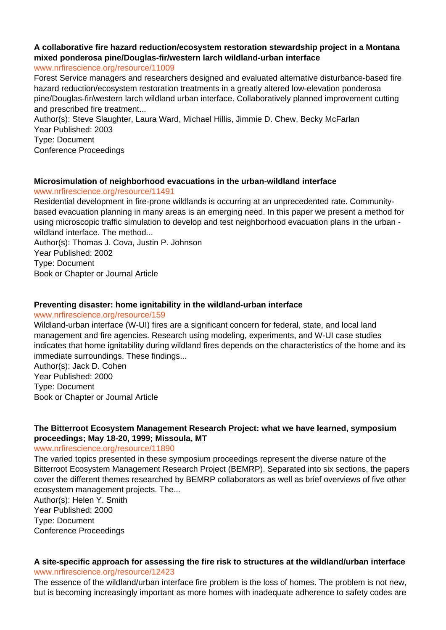# **A collaborative fire hazard reduction/ecosystem restoration stewardship project in a Montana mixed ponderosa pine/Douglas-fir/western larch wildland-urban interface**

www.nrfirescience.org/resource/11009

Forest Service managers and researchers designed and evaluated alternative disturbance-based fire hazard reduction/ecosystem restoration treatments in a greatly altered low-elevation ponderosa pine/Douglas-fir/western larch wildland urban interface. Collaboratively planned improvement cutting and prescribed fire treatment...

Author(s): Steve Slaughter, Laura Ward, Michael Hillis, Jimmie D. Chew, Becky McFarlan Year Published: 2003 Type: Document Conference Proceedings

### **Microsimulation of neighborhood evacuations in the urban-wildland interface**

www.nrfirescience.org/resource/11491

Residential development in fire-prone wildlands is occurring at an unprecedented rate. Communitybased evacuation planning in many areas is an emerging need. In this paper we present a method for using microscopic traffic simulation to develop and test neighborhood evacuation plans in the urban wildland interface. The method...

Author(s): Thomas J. Cova, Justin P. Johnson Year Published: 2002 Type: Document Book or Chapter or Journal Article

### **Preventing disaster: home ignitability in the wildland-urban interface**

#### www.nrfirescience.org/resource/159

Wildland-urban interface (W-UI) fires are a significant concern for federal, state, and local land management and fire agencies. Research using modeling, experiments, and W-UI case studies indicates that home ignitability during wildland fires depends on the characteristics of the home and its immediate surroundings. These findings...

Author(s): Jack D. Cohen Year Published: 2000 Type: Document Book or Chapter or Journal Article

# **The Bitterroot Ecosystem Management Research Project: what we have learned, symposium proceedings; May 18-20, 1999; Missoula, MT**

www.nrfirescience.org/resource/11890

The varied topics presented in these symposium proceedings represent the diverse nature of the Bitterroot Ecosystem Management Research Project (BEMRP). Separated into six sections, the papers cover the different themes researched by BEMRP collaborators as well as brief overviews of five other ecosystem management projects. The...

Author(s): Helen Y. Smith Year Published: 2000 Type: Document Conference Proceedings

#### **A site-specific approach for assessing the fire risk to structures at the wildland/urban interface** www.nrfirescience.org/resource/12423

The essence of the wildland/urban interface fire problem is the loss of homes. The problem is not new, but is becoming increasingly important as more homes with inadequate adherence to safety codes are